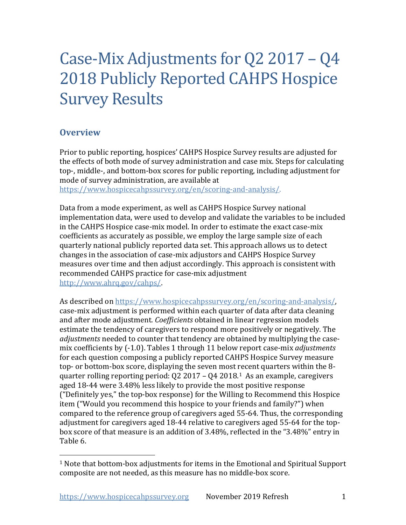# Case-Mix Adjustments for Q2 2017 – Q4 2018 Publicly Reported CAHPS Hospice Survey Results

# **Overview**

Prior to public reporting, hospices' CAHPS Hospice Survey results are adjusted for the effects of both mode of survey administration and case mix. Steps for calculating top-, middle-, and bottom-box scores for public reporting, including adjustment for mode of survey administration, are available at

[https://www.hospicecahpssurvey.org/en/scoring-and-analysis/.](https://hospicecahpssurvey.org/en/public-reporting/scoring-and-analysis/)

Data from a mode experiment, as well as CAHPS Hospice Survey national implementation data, were used to develop and validate the variables to be included in the CAHPS Hospice case-mix model. In order to estimate the exact case-mix coefficients as accurately as possible, we employ the large sample size of each quarterly national publicly reported data set. This approach allows us to detect changes in the association of case-mix adjustors and CAHPS Hospice Survey measures over time and then adjust accordingly. This approach is consistent with recommended CAHPS practice for case-mix adjustment [http://www.ahrq.gov/cahps/.](https://www.ahrq.gov/cahps/)

As described on [https://www.hospicecahpssurvey.org/en/scoring-and-analysis/,](https://hospicecahpssurvey.org/en/public-reporting/scoring-and-analysis/) case-mix adjustment is performed within each quarter of data after data cleaning and after mode adjustment. *Coefficients* obtained in linear regression models estimate the tendency of caregivers to respond more positively or negatively. The *adjustments* needed to counter that tendency are obtained by multiplying the casemix coefficients by (-1.0). Tables 1 through 11 below report case-mix *adjustments* for each question composing a publicly reported CAHPS Hospice Survey measure top- or bottom-box score, displaying the seven most recent quarters within the 8 quarter rolling reporting period: Q2 2017 – Q4 2018.[1](#page-0-0) As an example, caregivers aged 18-44 were 3.48% less likely to provide the most positive response ("Definitely yes," the top-box response) for the Willing to Recommend this Hospice item ("Would you recommend this hospice to your friends and family?") when compared to the reference group of caregivers aged 55-64. Thus, the corresponding adjustment for caregivers aged 18-44 relative to caregivers aged 55-64 for the topbox score of that measure is an addition of 3.48%, reflected in the "3.48%" entry in Table 6.

<span id="page-0-0"></span> $1$  Note that bottom-box adjustments for items in the Emotional and Spiritual Support composite are not needed, as this measure has no middle-box score.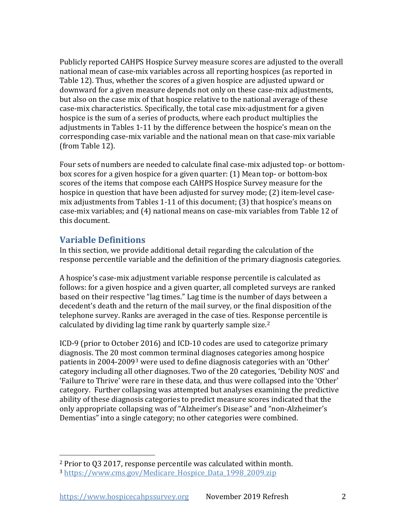Publicly reported CAHPS Hospice Survey measure scores are adjusted to the overall national mean of case-mix variables across all reporting hospices (as reported in Table 12). Thus, whether the scores of a given hospice are adjusted upward or downward for a given measure depends not only on these case-mix adjustments, but also on the case mix of that hospice relative to the national average of these case-mix characteristics. Specifically, the total case mix-adjustment for a given hospice is the sum of a series of products, where each product multiplies the adjustments in Tables 1-11 by the difference between the hospice's mean on the corresponding case-mix variable and the national mean on that case-mix variable (from Table 12).

Four sets of numbers are needed to calculate final case-mix adjusted top- or bottombox scores for a given hospice for a given quarter: (1) Mean top- or bottom-box scores of the items that compose each CAHPS Hospice Survey measure for the hospice in question that have been adjusted for survey mode; (2) item-level casemix adjustments from Tables 1-11 of this document; (3) that hospice's means on case-mix variables; and (4) national means on case-mix variables from Table 12 of this document.

# **Variable Definitions**

In this section, we provide additional detail regarding the calculation of the response percentile variable and the definition of the primary diagnosis categories.

A hospice's case-mix adjustment variable response percentile is calculated as follows: for a given hospice and a given quarter, all completed surveys are ranked based on their respective "lag times." Lag time is the number of days between a decedent's death and the return of the mail survey, or the final disposition of the telephone survey. Ranks are averaged in the case of ties. Response percentile is calculated by dividing lag time rank by quarterly sample size.<sup>[2](#page-1-0)</sup>

ICD-9 (prior to October 2016) and ICD-10 codes are used to categorize primary diagnosis. The 20 most common terminal diagnoses categories among hospice patients in 2004-2009[3](#page-1-1) were used to define diagnosis categories with an 'Other' category including all other diagnoses. Two of the 20 categories, 'Debility NOS' and 'Failure to Thrive' were rare in these data, and thus were collapsed into the 'Other' category. Further collapsing was attempted but analyses examining the predictive ability of these diagnosis categories to predict measure scores indicated that the only appropriate collapsing was of "Alzheimer's Disease" and "non-Alzheimer's Dementias" into a single category; no other categories were combined.

<span id="page-1-1"></span><span id="page-1-0"></span><sup>2</sup> Prior to Q3 2017, response percentile was calculated within month.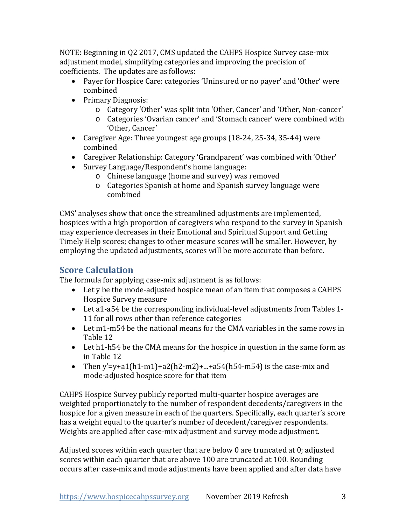NOTE: Beginning in Q2 2017, CMS updated the CAHPS Hospice Survey case-mix adjustment model, simplifying categories and improving the precision of coefficients. The updates are as follows:

- Payer for Hospice Care: categories 'Uninsured or no payer' and 'Other' were combined
- Primary Diagnosis:
	- o Category 'Other' was split into 'Other, Cancer' and 'Other, Non-cancer'
	- o Categories 'Ovarian cancer' and 'Stomach cancer' were combined with 'Other, Cancer'
- Caregiver Age: Three youngest age groups (18-24, 25-34, 35-44) were combined
- Caregiver Relationship: Category 'Grandparent' was combined with 'Other'
- Survey Language/Respondent's home language:
	- o Chinese language (home and survey) was removed
	- o Categories Spanish at home and Spanish survey language were combined

CMS' analyses show that once the streamlined adjustments are implemented, hospices with a high proportion of caregivers who respond to the survey in Spanish may experience decreases in their Emotional and Spiritual Support and Getting Timely Help scores; changes to other measure scores will be smaller. However, by employing the updated adjustments, scores will be more accurate than before.

# **Score Calculation**

The formula for applying case-mix adjustment is as follows:

- Let y be the mode-adjusted hospice mean of an item that composes a CAHPS Hospice Survey measure
- Let a1-a54 be the corresponding individual-level adjustments from Tables 1- 11 for all rows other than reference categories
- Let m1-m54 be the national means for the CMA variables in the same rows in Table 12
- Let h1-h54 be the CMA means for the hospice in question in the same form as in Table 12
- Then y'=y+a1(h1-m1)+a2(h2-m2)+...+a54(h54-m54) is the case-mix and mode-adjusted hospice score for that item

CAHPS Hospice Survey publicly reported multi-quarter hospice averages are weighted proportionately to the number of respondent decedents/caregivers in the hospice for a given measure in each of the quarters. Specifically, each quarter's score has a weight equal to the quarter's number of decedent/caregiver respondents. Weights are applied after case-mix adjustment and survey mode adjustment.

Adjusted scores within each quarter that are below 0 are truncated at 0; adjusted scores within each quarter that are above 100 are truncated at 100. Rounding occurs after case-mix and mode adjustments have been applied and after data have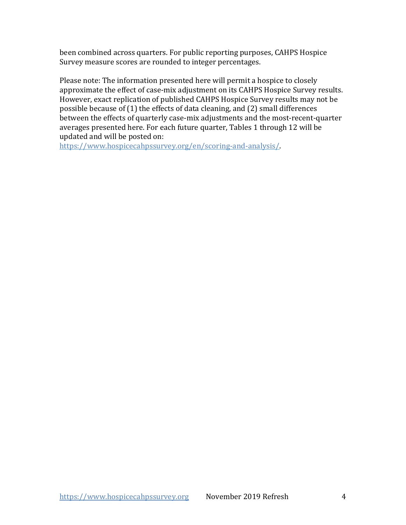been combined across quarters. For public reporting purposes, CAHPS Hospice Survey measure scores are rounded to integer percentages.

Please note: The information presented here will permit a hospice to closely approximate the effect of case-mix adjustment on its CAHPS Hospice Survey results. However, exact replication of published CAHPS Hospice Survey results may not be possible because of (1) the effects of data cleaning, and (2) small differences between the effects of quarterly case-mix adjustments and the most-recent-quarter averages presented here. For each future quarter, Tables 1 through 12 will be updated and will be posted on:

[https://www.hospicecahpssurvey.org/en/scoring-and-analysis/](https://hospicecahpssurvey.org/en/public-reporting/scoring-and-analysis/).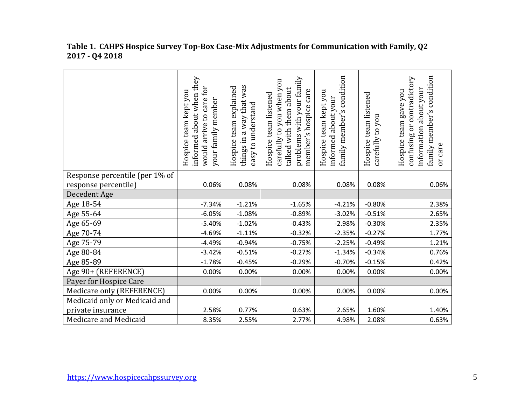|                                | informed about when they<br>would arrive to care for<br>Hospice team kept you<br>your family member | things in a way that was<br>Hospice team explained<br>easy to understand | problems with your family<br>carefully to you when you<br>talked with them about<br>member's hospice care<br>Hospice team listened | condition<br>Hospice team kept you<br>about your<br>family member's<br>informed | Hospice team listened<br>carefully to you | family member's condition<br>contradictory<br>information about your<br>Hospice team gave you<br>ðr<br>confusing<br>or care |
|--------------------------------|-----------------------------------------------------------------------------------------------------|--------------------------------------------------------------------------|------------------------------------------------------------------------------------------------------------------------------------|---------------------------------------------------------------------------------|-------------------------------------------|-----------------------------------------------------------------------------------------------------------------------------|
| Response percentile (per 1% of |                                                                                                     |                                                                          |                                                                                                                                    |                                                                                 |                                           |                                                                                                                             |
| response percentile)           | 0.06%                                                                                               | 0.08%                                                                    | 0.08%                                                                                                                              | 0.08%                                                                           | 0.08%                                     | 0.06%                                                                                                                       |
| Decedent Age                   |                                                                                                     |                                                                          |                                                                                                                                    |                                                                                 |                                           |                                                                                                                             |
| Age 18-54                      | $-7.34%$                                                                                            | $-1.21%$                                                                 | $-1.65%$                                                                                                                           | $-4.21%$                                                                        | $-0.80%$                                  | 2.38%                                                                                                                       |
| Age 55-64                      | $-6.05%$                                                                                            | $-1.08%$                                                                 | $-0.89%$                                                                                                                           | $-3.02%$                                                                        | $-0.51%$                                  | 2.65%                                                                                                                       |
| Age 65-69                      | $-5.40%$                                                                                            | $-1.02%$                                                                 | $-0.43%$                                                                                                                           | $-2.98%$                                                                        | $-0.30%$                                  | 2.35%                                                                                                                       |
| Age 70-74                      | $-4.69%$                                                                                            | $-1.11%$                                                                 | $-0.32%$                                                                                                                           | $-2.35%$                                                                        | $-0.27%$                                  | 1.77%                                                                                                                       |
| Age 75-79                      | $-4.49%$                                                                                            | $-0.94%$                                                                 | $-0.75%$                                                                                                                           | $-2.25%$                                                                        | $-0.49%$                                  | 1.21%                                                                                                                       |
| Age 80-84                      | $-3.42%$                                                                                            | $-0.51%$                                                                 | $-0.27%$                                                                                                                           | $-1.34%$                                                                        | $-0.34%$                                  | 0.76%                                                                                                                       |
| Age 85-89                      | $-1.78%$                                                                                            | $-0.45%$                                                                 | $-0.29%$                                                                                                                           | $-0.70%$                                                                        | $-0.15%$                                  | 0.42%                                                                                                                       |
| Age 90+ (REFERENCE)            | 0.00%                                                                                               | 0.00%                                                                    | 0.00%                                                                                                                              | 0.00%                                                                           | 0.00%                                     | 0.00%                                                                                                                       |
| Payer for Hospice Care         |                                                                                                     |                                                                          |                                                                                                                                    |                                                                                 |                                           |                                                                                                                             |
| Medicare only (REFERENCE)      | 0.00%                                                                                               | 0.00%                                                                    | 0.00%                                                                                                                              | 0.00%                                                                           | 0.00%                                     | 0.00%                                                                                                                       |
| Medicaid only or Medicaid and  |                                                                                                     |                                                                          |                                                                                                                                    |                                                                                 |                                           |                                                                                                                             |
| private insurance              | 2.58%                                                                                               | 0.77%                                                                    | 0.63%                                                                                                                              | 2.65%                                                                           | 1.60%                                     | 1.40%                                                                                                                       |
| Medicare and Medicaid          | 8.35%                                                                                               | 2.55%                                                                    | 2.77%                                                                                                                              | 4.98%                                                                           | 2.08%                                     | 0.63%                                                                                                                       |

#### **Table 1. CAHPS Hospice Survey Top-Box Case-Mix Adjustments for Communication with Family, Q2 2017 - Q4 2018**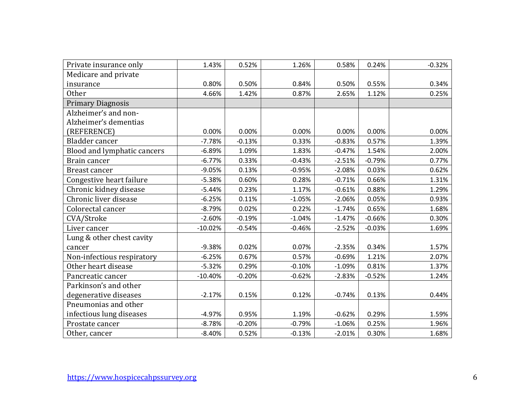| Private insurance only      | 1.43%     | 0.52%    | 1.26%    | 0.58%    | 0.24%    | $-0.32%$ |
|-----------------------------|-----------|----------|----------|----------|----------|----------|
| Medicare and private        |           |          |          |          |          |          |
| insurance                   | 0.80%     | 0.50%    | 0.84%    | 0.50%    | 0.55%    | 0.34%    |
| <b>Other</b>                | 4.66%     | 1.42%    | 0.87%    | 2.65%    | 1.12%    | 0.25%    |
| <b>Primary Diagnosis</b>    |           |          |          |          |          |          |
| Alzheimer's and non-        |           |          |          |          |          |          |
| Alzheimer's dementias       |           |          |          |          |          |          |
| (REFERENCE)                 | 0.00%     | 0.00%    | 0.00%    | 0.00%    | 0.00%    | 0.00%    |
| Bladder cancer              | $-7.78%$  | $-0.13%$ | 0.33%    | $-0.83%$ | 0.57%    | 1.39%    |
| Blood and lymphatic cancers | $-6.89%$  | 1.09%    | 1.83%    | $-0.47%$ | 1.54%    | 2.00%    |
| Brain cancer                | $-6.77%$  | 0.33%    | $-0.43%$ | $-2.51%$ | $-0.79%$ | 0.77%    |
| Breast cancer               | $-9.05%$  | 0.13%    | $-0.95%$ | $-2.08%$ | 0.03%    | 0.62%    |
| Congestive heart failure    | $-5.38%$  | 0.60%    | 0.28%    | $-0.71%$ | 0.66%    | 1.31%    |
| Chronic kidney disease      | $-5.44%$  | 0.23%    | 1.17%    | $-0.61%$ | 0.88%    | 1.29%    |
| Chronic liver disease       | $-6.25%$  | 0.11%    | $-1.05%$ | $-2.06%$ | 0.05%    | 0.93%    |
| Colorectal cancer           | $-8.79%$  | 0.02%    | 0.22%    | $-1.74%$ | 0.65%    | 1.68%    |
| CVA/Stroke                  | $-2.60%$  | $-0.19%$ | $-1.04%$ | $-1.47%$ | $-0.66%$ | 0.30%    |
| Liver cancer                | $-10.02%$ | $-0.54%$ | $-0.46%$ | $-2.52%$ | $-0.03%$ | 1.69%    |
| Lung & other chest cavity   |           |          |          |          |          |          |
| cancer                      | $-9.38%$  | 0.02%    | 0.07%    | $-2.35%$ | 0.34%    | 1.57%    |
| Non-infectious respiratory  | $-6.25%$  | 0.67%    | 0.57%    | $-0.69%$ | 1.21%    | 2.07%    |
| Other heart disease         | $-5.32%$  | 0.29%    | $-0.10%$ | $-1.09%$ | 0.81%    | 1.37%    |
| Pancreatic cancer           | $-10.40%$ | $-0.20%$ | $-0.62%$ | $-2.83%$ | $-0.52%$ | 1.24%    |
| Parkinson's and other       |           |          |          |          |          |          |
| degenerative diseases       | $-2.17%$  | 0.15%    | 0.12%    | $-0.74%$ | 0.13%    | 0.44%    |
| Pneumonias and other        |           |          |          |          |          |          |
| infectious lung diseases    | $-4.97%$  | 0.95%    | 1.19%    | $-0.62%$ | 0.29%    | 1.59%    |
| Prostate cancer             | $-8.78%$  | $-0.20%$ | $-0.79%$ | $-1.06%$ | 0.25%    | 1.96%    |
| Other, cancer               | $-8.40%$  | 0.52%    | $-0.13%$ | $-2.01%$ | 0.30%    | 1.68%    |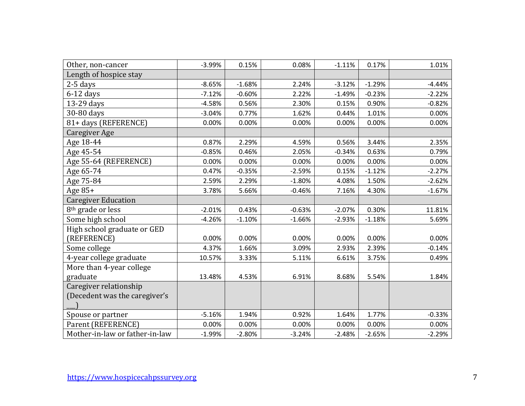| Other, non-cancer              | $-3.99%$ | 0.15%    | 0.08%    | $-1.11%$ | 0.17%    | 1.01%    |
|--------------------------------|----------|----------|----------|----------|----------|----------|
| Length of hospice stay         |          |          |          |          |          |          |
| $2-5$ days                     | $-8.65%$ | $-1.68%$ | 2.24%    | $-3.12%$ | $-1.29%$ | $-4.44%$ |
| $6-12$ days                    | $-7.12%$ | $-0.60%$ | 2.22%    | $-1.49%$ | $-0.23%$ | $-2.22%$ |
| 13-29 days                     | $-4.58%$ | 0.56%    | 2.30%    | 0.15%    | 0.90%    | $-0.82%$ |
| 30-80 days                     | $-3.04%$ | 0.77%    | 1.62%    | 0.44%    | 1.01%    | 0.00%    |
| 81+ days (REFERENCE)           | 0.00%    | 0.00%    | 0.00%    | 0.00%    | 0.00%    | 0.00%    |
| Caregiver Age                  |          |          |          |          |          |          |
| Age 18-44                      | 0.87%    | 2.29%    | 4.59%    | 0.56%    | 3.44%    | 2.35%    |
| Age 45-54                      | $-0.85%$ | 0.46%    | 2.05%    | $-0.34%$ | 0.63%    | 0.79%    |
| Age 55-64 (REFERENCE)          | 0.00%    | 0.00%    | 0.00%    | 0.00%    | 0.00%    | 0.00%    |
| Age 65-74                      | 0.47%    | $-0.35%$ | $-2.59%$ | 0.15%    | $-1.12%$ | $-2.27%$ |
| Age 75-84                      | 2.59%    | 2.29%    | $-1.80%$ | 4.08%    | 1.50%    | $-2.62%$ |
| Age $85+$                      | 3.78%    | 5.66%    | $-0.46%$ | 7.16%    | 4.30%    | $-1.67%$ |
| <b>Caregiver Education</b>     |          |          |          |          |          |          |
| 8 <sup>th</sup> grade or less  | $-2.01%$ | 0.43%    | $-0.63%$ | $-2.07%$ | 0.30%    | 11.81%   |
| Some high school               | $-4.26%$ | $-1.10%$ | $-1.66%$ | $-2.93%$ | $-1.18%$ | 5.69%    |
| High school graduate or GED    |          |          |          |          |          |          |
| (REFERENCE)                    | 0.00%    | 0.00%    | 0.00%    | 0.00%    | 0.00%    | 0.00%    |
| Some college                   | 4.37%    | 1.66%    | 3.09%    | 2.93%    | 2.39%    | $-0.14%$ |
| 4-year college graduate        | 10.57%   | 3.33%    | 5.11%    | 6.61%    | 3.75%    | 0.49%    |
| More than 4-year college       |          |          |          |          |          |          |
| graduate                       | 13.48%   | 4.53%    | 6.91%    | 8.68%    | 5.54%    | 1.84%    |
| Caregiver relationship         |          |          |          |          |          |          |
| (Decedent was the caregiver's  |          |          |          |          |          |          |
|                                |          |          |          |          |          |          |
| Spouse or partner              | $-5.16%$ | 1.94%    | 0.92%    | 1.64%    | 1.77%    | $-0.33%$ |
| Parent (REFERENCE)             | 0.00%    | 0.00%    | 0.00%    | 0.00%    | 0.00%    | 0.00%    |
| Mother-in-law or father-in-law | $-1.99%$ | $-2.80%$ | $-3.24%$ | $-2.48%$ | $-2.65%$ | $-2.29%$ |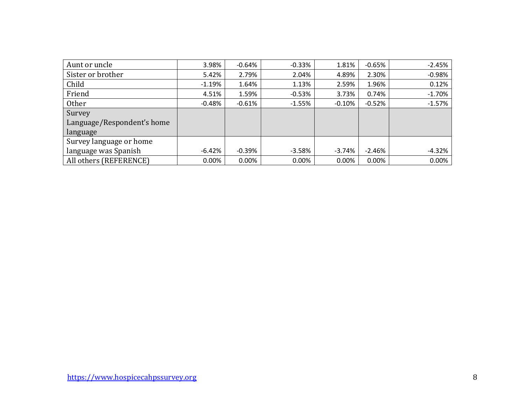| Aunt or uncle              | 3.98%    | $-0.64%$  | $-0.33%$ | 1.81%    | $-0.65%$ | $-2.45%$ |
|----------------------------|----------|-----------|----------|----------|----------|----------|
| Sister or brother          | 5.42%    | 2.79%     | 2.04%    | 4.89%    | 2.30%    | $-0.98%$ |
| Child                      | $-1.19%$ | 1.64%     | 1.13%    | 2.59%    | 1.96%    | 0.12%    |
| Friend                     | 4.51%    | 1.59%     | $-0.53%$ | 3.73%    | 0.74%    | $-1.70%$ |
| Other                      | $-0.48%$ | $-0.61\%$ | $-1.55%$ | $-0.10%$ | $-0.52%$ | $-1.57%$ |
| Survey                     |          |           |          |          |          |          |
| Language/Respondent's home |          |           |          |          |          |          |
| language                   |          |           |          |          |          |          |
| Survey language or home    |          |           |          |          |          |          |
| language was Spanish       | $-6.42%$ | $-0.39%$  | $-3.58%$ | $-3.74%$ | $-2.46%$ | $-4.32%$ |
| All others (REFERENCE)     | 0.00%    | $0.00\%$  | 0.00%    | 0.00%    | 0.00%    | 0.00%    |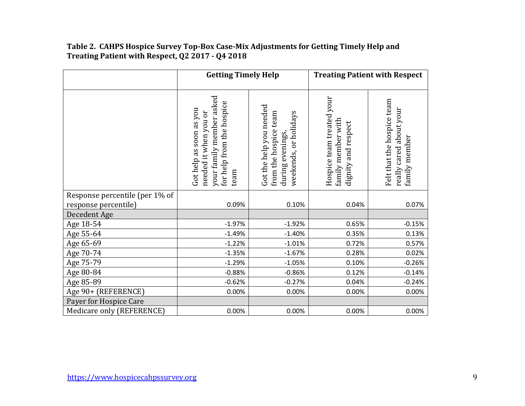# **Table 2. CAHPS Hospice Survey Top-Box Case-Mix Adjustments for Getting Timely Help and Treating Patient with Respect, Q2 2017 - Q4 2018**

|                                                        | <b>Getting Timely Help</b>                                                                                        |                                                                                               |                                                                        | <b>Treating Patient with Respect</b>                                   |
|--------------------------------------------------------|-------------------------------------------------------------------------------------------------------------------|-----------------------------------------------------------------------------------------------|------------------------------------------------------------------------|------------------------------------------------------------------------|
|                                                        | your family member asked<br>for help from the hospice<br>Got help as soon as you<br>needed it when you or<br>team | Got the help you needed<br>from the hospice team<br>weekends, or holidays<br>during evenings, | Hospice team treated your<br>family member with<br>dignity and respect | Felt that the hospice team<br>really cared about your<br>family member |
| Response percentile (per 1% of<br>response percentile) | 0.09%                                                                                                             | 0.10%                                                                                         | 0.04%                                                                  | 0.07%                                                                  |
| Decedent Age                                           |                                                                                                                   |                                                                                               |                                                                        |                                                                        |
| Age 18-54                                              | $-1.97%$                                                                                                          | $-1.92%$                                                                                      | 0.65%                                                                  | $-0.15%$                                                               |
| Age 55-64                                              | $-1.49%$                                                                                                          | $-1.40%$                                                                                      | 0.35%                                                                  | 0.13%                                                                  |
| Age 65-69                                              | $-1.22%$                                                                                                          | $-1.01%$                                                                                      | 0.72%                                                                  | 0.57%                                                                  |
| Age 70-74                                              | $-1.35%$                                                                                                          | $-1.67%$                                                                                      | 0.28%                                                                  | 0.02%                                                                  |
| Age 75-79                                              | $-1.29%$                                                                                                          | $-1.05%$                                                                                      | 0.10%                                                                  | $-0.26%$                                                               |
| Age 80-84                                              | $-0.88%$                                                                                                          | $-0.86%$                                                                                      | 0.12%                                                                  | $-0.14%$                                                               |
| Age 85-89                                              | $-0.62%$                                                                                                          | $-0.27%$                                                                                      | 0.04%                                                                  | $-0.24%$                                                               |
| Age 90+ (REFERENCE)                                    | 0.00%                                                                                                             | 0.00%                                                                                         | 0.00%                                                                  | 0.00%                                                                  |
| Payer for Hospice Care                                 |                                                                                                                   |                                                                                               |                                                                        |                                                                        |
| Medicare only (REFERENCE)                              | 0.00%                                                                                                             | 0.00%                                                                                         | 0.00%                                                                  | 0.00%                                                                  |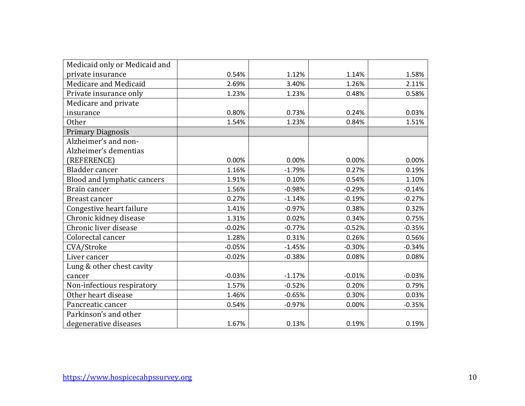| Medicaid only or Medicaid and |          |          |          |          |
|-------------------------------|----------|----------|----------|----------|
| private insurance             | 0.54%    | 1.12%    | 1.14%    | 1.58%    |
| Medicare and Medicaid         | 2.69%    | 3.40%    | 1.26%    | 2.11%    |
| Private insurance only        | 1.23%    | 1.23%    | 0.48%    | 0.58%    |
| Medicare and private          |          |          |          |          |
| insurance                     | 0.80%    | 0.73%    | 0.24%    | 0.03%    |
| <b>Other</b>                  | 1.54%    | 1.23%    | 0.84%    | 1.51%    |
| <b>Primary Diagnosis</b>      |          |          |          |          |
| Alzheimer's and non-          |          |          |          |          |
| Alzheimer's dementias         |          |          |          |          |
| (REFERENCE)                   | 0.00%    | 0.00%    | 0.00%    | 0.00%    |
| Bladder cancer                | 1.16%    | $-1.79%$ | 0.27%    | 0.19%    |
| Blood and lymphatic cancers   | 1.91%    | 0.10%    | 0.54%    | 1.10%    |
| Brain cancer                  | 1.56%    | $-0.98%$ | $-0.29%$ | $-0.14%$ |
| Breast cancer                 | 0.27%    | $-1.14%$ | $-0.19%$ | $-0.27%$ |
| Congestive heart failure      | 1.41%    | $-0.97%$ | 0.38%    | 0.32%    |
| Chronic kidney disease        | 1.31%    | 0.02%    | 0.34%    | 0.75%    |
| Chronic liver disease         | $-0.02%$ | $-0.77%$ | $-0.52%$ | $-0.35%$ |
| Colorectal cancer             | 1.28%    | 0.31%    | 0.26%    | 0.56%    |
| CVA/Stroke                    | $-0.05%$ | $-1.45%$ | $-0.30%$ | $-0.34%$ |
| Liver cancer                  | $-0.02%$ | $-0.38%$ | 0.08%    | 0.08%    |
| Lung & other chest cavity     |          |          |          |          |
| cancer                        | $-0.03%$ | $-1.17%$ | $-0.01%$ | $-0.03%$ |
| Non-infectious respiratory    | 1.57%    | $-0.52%$ | 0.20%    | 0.79%    |
| Other heart disease           | 1.46%    | $-0.65%$ | 0.30%    | 0.03%    |
| Pancreatic cancer             | 0.54%    | $-0.97%$ | 0.00%    | $-0.35%$ |
| Parkinson's and other         |          |          |          |          |
| degenerative diseases         | 1.67%    | 0.13%    | 0.19%    | 0.19%    |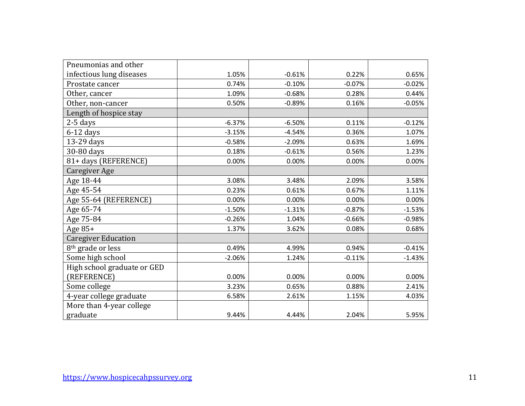| Pneumonias and other          |          |          |          |          |
|-------------------------------|----------|----------|----------|----------|
| infectious lung diseases      | 1.05%    | $-0.61%$ | 0.22%    | 0.65%    |
| Prostate cancer               | 0.74%    | $-0.10%$ | $-0.07%$ | $-0.02%$ |
| Other, cancer                 | 1.09%    | $-0.68%$ | 0.28%    | 0.44%    |
| Other, non-cancer             | 0.50%    | $-0.89%$ | 0.16%    | $-0.05%$ |
| Length of hospice stay        |          |          |          |          |
| $2-5$ days                    | $-6.37%$ | $-6.50%$ | 0.11%    | $-0.12%$ |
| $6-12$ days                   | $-3.15%$ | $-4.54%$ | 0.36%    | 1.07%    |
| 13-29 days                    | $-0.58%$ | $-2.09%$ | 0.63%    | 1.69%    |
| 30-80 days                    | 0.18%    | $-0.61%$ | 0.56%    | 1.23%    |
| 81+ days (REFERENCE)          | 0.00%    | 0.00%    | 0.00%    | 0.00%    |
| <b>Caregiver Age</b>          |          |          |          |          |
| Age 18-44                     | 3.08%    | 3.48%    | 2.09%    | 3.58%    |
| Age 45-54                     | 0.23%    | 0.61%    | 0.67%    | 1.11%    |
| Age 55-64 (REFERENCE)         | 0.00%    | 0.00%    | 0.00%    | 0.00%    |
| Age 65-74                     | $-1.50%$ | $-1.31%$ | $-0.87%$ | $-1.53%$ |
| Age 75-84                     | $-0.26%$ | 1.04%    | $-0.66%$ | $-0.98%$ |
| Age 85+                       | 1.37%    | 3.62%    | 0.08%    | 0.68%    |
| <b>Caregiver Education</b>    |          |          |          |          |
| 8 <sup>th</sup> grade or less | 0.49%    | 4.99%    | 0.94%    | $-0.41%$ |
| Some high school              | $-2.06%$ | 1.24%    | $-0.11%$ | $-1.43%$ |
| High school graduate or GED   |          |          |          |          |
| (REFERENCE)                   | 0.00%    | 0.00%    | 0.00%    | 0.00%    |
| Some college                  | 3.23%    | 0.65%    | 0.88%    | 2.41%    |
| 4-year college graduate       | 6.58%    | 2.61%    | 1.15%    | 4.03%    |
| More than 4-year college      |          |          |          |          |
| graduate                      | 9.44%    | 4.44%    | 2.04%    | 5.95%    |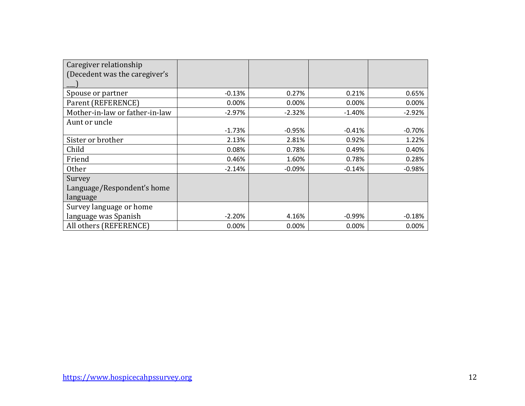| Caregiver relationship         |          |          |          |          |
|--------------------------------|----------|----------|----------|----------|
| (Decedent was the caregiver's  |          |          |          |          |
|                                |          |          |          |          |
| Spouse or partner              | $-0.13%$ | 0.27%    | 0.21%    | 0.65%    |
| Parent (REFERENCE)             | 0.00%    | 0.00%    | 0.00%    | 0.00%    |
| Mother-in-law or father-in-law | $-2.97%$ | $-2.32%$ | $-1.40%$ | $-2.92%$ |
| Aunt or uncle                  |          |          |          |          |
|                                | $-1.73%$ | $-0.95%$ | $-0.41%$ | $-0.70%$ |
| Sister or brother              | 2.13%    | 2.81%    | 0.92%    | 1.22%    |
| Child                          | 0.08%    | 0.78%    | 0.49%    | 0.40%    |
| Friend                         | 0.46%    | 1.60%    | 0.78%    | 0.28%    |
| <b>Other</b>                   | $-2.14%$ | $-0.09%$ | $-0.14%$ | $-0.98%$ |
| Survey                         |          |          |          |          |
| Language/Respondent's home     |          |          |          |          |
| language                       |          |          |          |          |
| Survey language or home        |          |          |          |          |
| language was Spanish           | $-2.20%$ | 4.16%    | $-0.99%$ | $-0.18%$ |
| All others (REFERENCE)         | 0.00%    | 0.00%    | 0.00%    | 0.00%    |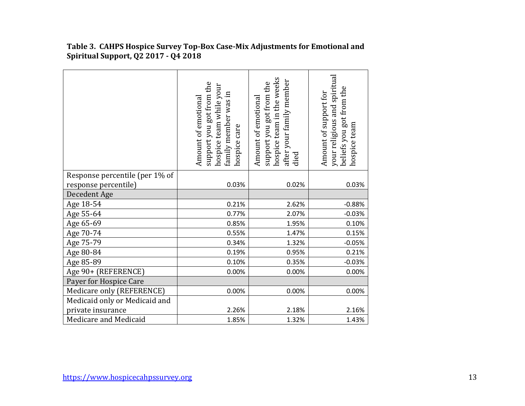|                                | support you got from the<br>hospice team while your<br>family member was in<br>Amount of emotional<br>hospice care | hospice team in the weeks<br>after your family member<br>support you got from the<br>Amount of emotional<br>died | your religious and spiritual<br>beliefs you got from the<br>Amount of support for<br>hospice team |
|--------------------------------|--------------------------------------------------------------------------------------------------------------------|------------------------------------------------------------------------------------------------------------------|---------------------------------------------------------------------------------------------------|
| Response percentile (per 1% of |                                                                                                                    |                                                                                                                  |                                                                                                   |
| response percentile)           | 0.03%                                                                                                              | 0.02%                                                                                                            | 0.03%                                                                                             |
| Decedent Age                   |                                                                                                                    |                                                                                                                  |                                                                                                   |
| Age 18-54                      | 0.21%                                                                                                              | 2.62%                                                                                                            | $-0.88%$                                                                                          |
| Age 55-64                      | 0.77%                                                                                                              | 2.07%                                                                                                            | $-0.03%$                                                                                          |
| Age 65-69                      | 0.85%                                                                                                              | 1.95%                                                                                                            | 0.10%                                                                                             |
| Age 70-74                      | 0.55%                                                                                                              | 1.47%                                                                                                            | 0.15%                                                                                             |
| Age 75-79                      | 0.34%                                                                                                              | 1.32%                                                                                                            | $-0.05%$                                                                                          |
| Age 80-84                      | 0.19%                                                                                                              | 0.95%                                                                                                            | 0.21%                                                                                             |
| Age 85-89                      | 0.10%                                                                                                              | 0.35%                                                                                                            | $-0.03%$                                                                                          |
| Age 90+ (REFERENCE)            | 0.00%                                                                                                              | 0.00%                                                                                                            | 0.00%                                                                                             |
| Payer for Hospice Care         |                                                                                                                    |                                                                                                                  |                                                                                                   |
| Medicare only (REFERENCE)      | 0.00%                                                                                                              | 0.00%                                                                                                            | 0.00%                                                                                             |
| Medicaid only or Medicaid and  |                                                                                                                    |                                                                                                                  |                                                                                                   |
| private insurance              | 2.26%                                                                                                              | 2.18%                                                                                                            | 2.16%                                                                                             |
| Medicare and Medicaid          | 1.85%                                                                                                              | 1.32%                                                                                                            | 1.43%                                                                                             |

**Table 3. CAHPS Hospice Survey Top-Box Case-Mix Adjustments for Emotional and Spiritual Support, Q2 2017 - Q4 2018**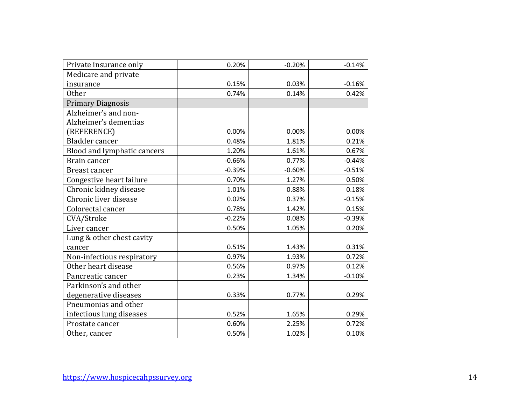| Private insurance only      | 0.20%    | $-0.20%$ | $-0.14%$ |
|-----------------------------|----------|----------|----------|
| Medicare and private        |          |          |          |
| insurance                   | 0.15%    | 0.03%    | $-0.16%$ |
| <b>Other</b>                | 0.74%    | 0.14%    | 0.42%    |
| <b>Primary Diagnosis</b>    |          |          |          |
| Alzheimer's and non-        |          |          |          |
| Alzheimer's dementias       |          |          |          |
| (REFERENCE)                 | 0.00%    | 0.00%    | 0.00%    |
| Bladder cancer              | 0.48%    | 1.81%    | 0.21%    |
| Blood and lymphatic cancers | 1.20%    | 1.61%    | 0.67%    |
| Brain cancer                | $-0.66%$ | 0.77%    | $-0.44%$ |
| Breast cancer               | $-0.39%$ | $-0.60%$ | $-0.51%$ |
| Congestive heart failure    | 0.70%    | 1.27%    | 0.50%    |
| Chronic kidney disease      | 1.01%    | 0.88%    | 0.18%    |
| Chronic liver disease       | 0.02%    | 0.37%    | $-0.15%$ |
| Colorectal cancer           | 0.78%    | 1.42%    | 0.15%    |
| CVA/Stroke                  | $-0.22%$ | 0.08%    | $-0.39%$ |
| Liver cancer                | 0.50%    | 1.05%    | 0.20%    |
| Lung & other chest cavity   |          |          |          |
| cancer                      | 0.51%    | 1.43%    | 0.31%    |
| Non-infectious respiratory  | 0.97%    | 1.93%    | 0.72%    |
| Other heart disease         | 0.56%    | 0.97%    | 0.12%    |
| Pancreatic cancer           | 0.23%    | 1.34%    | $-0.10%$ |
| Parkinson's and other       |          |          |          |
| degenerative diseases       | 0.33%    | 0.77%    | 0.29%    |
| Pneumonias and other        |          |          |          |
| infectious lung diseases    | 0.52%    | 1.65%    | 0.29%    |
| Prostate cancer             | 0.60%    | 2.25%    | 0.72%    |
| Other, cancer               | 0.50%    | 1.02%    | 0.10%    |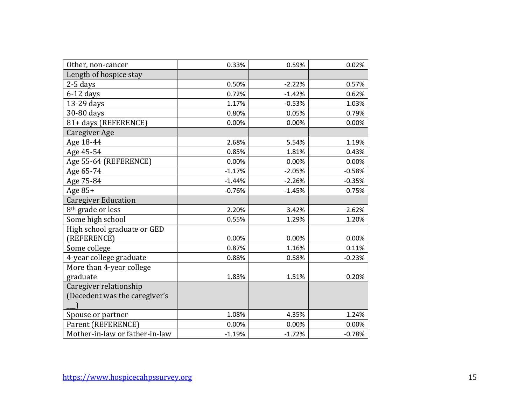| Other, non-cancer              | 0.33%    | 0.59%    | 0.02%    |
|--------------------------------|----------|----------|----------|
| Length of hospice stay         |          |          |          |
| $2-5$ days                     | 0.50%    | $-2.22%$ | 0.57%    |
| $6-12$ days                    | 0.72%    | $-1.42%$ | 0.62%    |
| 13-29 days                     | 1.17%    | $-0.53%$ | 1.03%    |
| 30-80 days                     | 0.80%    | 0.05%    | 0.79%    |
| 81+ days (REFERENCE)           | 0.00%    | 0.00%    | 0.00%    |
| <b>Caregiver Age</b>           |          |          |          |
| Age 18-44                      | 2.68%    | 5.54%    | 1.19%    |
| Age 45-54                      | 0.85%    | 1.81%    | 0.43%    |
| Age 55-64 (REFERENCE)          | 0.00%    | 0.00%    | 0.00%    |
| Age 65-74                      | $-1.17%$ | $-2.05%$ | $-0.58%$ |
| Age 75-84                      | $-1.44%$ | $-2.26%$ | $-0.35%$ |
| Age 85+                        | $-0.76%$ | $-1.45%$ | 0.75%    |
| <b>Caregiver Education</b>     |          |          |          |
| 8 <sup>th</sup> grade or less  | 2.20%    | 3.42%    | 2.62%    |
| Some high school               | 0.55%    | 1.29%    | 1.20%    |
| High school graduate or GED    |          |          |          |
| (REFERENCE)                    | 0.00%    | 0.00%    | 0.00%    |
| Some college                   | 0.87%    | 1.16%    | 0.11%    |
| 4-year college graduate        | 0.88%    | 0.58%    | $-0.23%$ |
| More than 4-year college       |          |          |          |
| graduate                       | 1.83%    | 1.51%    | 0.20%    |
| Caregiver relationship         |          |          |          |
| (Decedent was the caregiver's  |          |          |          |
|                                |          |          |          |
| Spouse or partner              | 1.08%    | 4.35%    | 1.24%    |
| Parent (REFERENCE)             | 0.00%    | 0.00%    | 0.00%    |
| Mother-in-law or father-in-law | $-1.19%$ | $-1.72%$ | $-0.78%$ |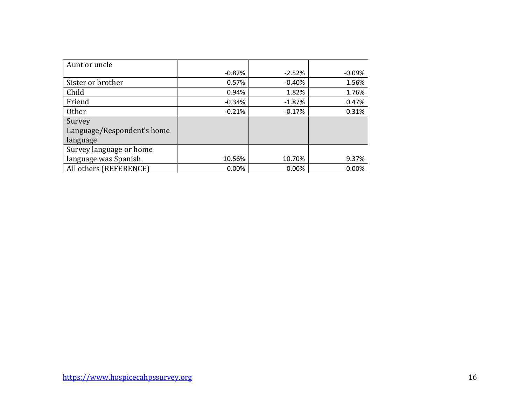| Aunt or uncle              |          |          |        |
|----------------------------|----------|----------|--------|
|                            | $-0.82%$ | $-2.52%$ | -0.09% |
| Sister or brother          | 0.57%    | $-0.40%$ | 1.56%  |
| Child                      | 0.94%    | 1.82%    | 1.76%  |
| Friend                     | $-0.34%$ | $-1.87%$ | 0.47%  |
| Other                      | $-0.21%$ | $-0.17%$ | 0.31%  |
| Survey                     |          |          |        |
| Language/Respondent's home |          |          |        |
| language                   |          |          |        |
| Survey language or home    |          |          |        |
| language was Spanish       | 10.56%   | 10.70%   | 9.37%  |
| All others (REFERENCE)     | 0.00%    | 0.00%    | 0.00%  |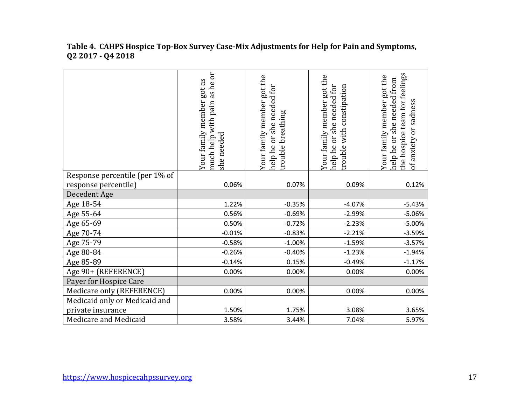#### **Table 4. CAHPS Hospice Top-Box Survey Case-Mix Adjustments for Help for Pain and Symptoms, Q2 2017 - Q4 2018**

|                                | as he or<br>got as<br>Your family member<br>pain<br>much help with<br>she needed | got the<br>help he or she needed for<br>Your family member<br>trouble breathing | Your family member got the<br>help he or she needed for<br>rouble with constipation | the hospice team for feelings<br>Your family member got the<br>needed from<br>of anxiety or sadness<br>she <sub>1</sub><br>ðr<br>help he |
|--------------------------------|----------------------------------------------------------------------------------|---------------------------------------------------------------------------------|-------------------------------------------------------------------------------------|------------------------------------------------------------------------------------------------------------------------------------------|
| Response percentile (per 1% of |                                                                                  |                                                                                 |                                                                                     |                                                                                                                                          |
| response percentile)           | 0.06%                                                                            | 0.07%                                                                           | 0.09%                                                                               | 0.12%                                                                                                                                    |
| Decedent Age                   |                                                                                  |                                                                                 |                                                                                     |                                                                                                                                          |
| Age 18-54                      | 1.22%                                                                            | $-0.35%$                                                                        | $-4.07%$                                                                            | $-5.43%$                                                                                                                                 |
| Age 55-64                      | 0.56%                                                                            | $-0.69%$                                                                        | $-2.99%$                                                                            | $-5.06%$                                                                                                                                 |
| Age 65-69                      | 0.50%                                                                            | $-0.72%$                                                                        | $-2.23%$                                                                            | $-5.00%$                                                                                                                                 |
| Age 70-74                      | $-0.01%$                                                                         | $-0.83%$                                                                        | $-2.21%$                                                                            | $-3.59%$                                                                                                                                 |
| Age 75-79                      | $-0.58%$                                                                         | $-1.00%$                                                                        | $-1.59%$                                                                            | $-3.57%$                                                                                                                                 |
| Age 80-84                      | $-0.26%$                                                                         | $-0.40%$                                                                        | $-1.23%$                                                                            | $-1.94%$                                                                                                                                 |
| Age 85-89                      | $-0.14%$                                                                         | 0.15%                                                                           | $-0.49%$                                                                            | $-1.17%$                                                                                                                                 |
| Age 90+ (REFERENCE)            | 0.00%                                                                            | 0.00%                                                                           | 0.00%                                                                               | 0.00%                                                                                                                                    |
| Payer for Hospice Care         |                                                                                  |                                                                                 |                                                                                     |                                                                                                                                          |
| Medicare only (REFERENCE)      | 0.00%                                                                            | 0.00%                                                                           | 0.00%                                                                               | 0.00%                                                                                                                                    |
| Medicaid only or Medicaid and  |                                                                                  |                                                                                 |                                                                                     |                                                                                                                                          |
| private insurance              | 1.50%                                                                            | 1.75%                                                                           | 3.08%                                                                               | 3.65%                                                                                                                                    |
| Medicare and Medicaid          | 3.58%                                                                            | 3.44%                                                                           | 7.04%                                                                               | 5.97%                                                                                                                                    |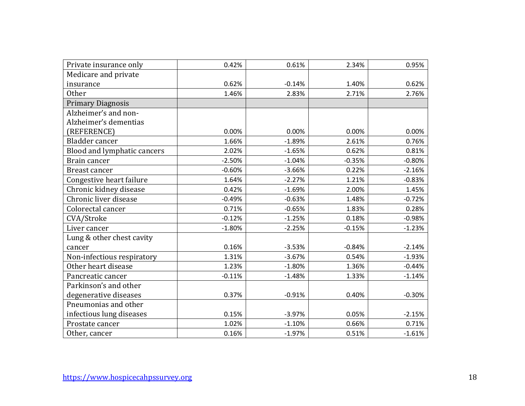| Private insurance only      | 0.42%    | 0.61%    | 2.34%    | 0.95%    |
|-----------------------------|----------|----------|----------|----------|
| Medicare and private        |          |          |          |          |
| insurance                   | 0.62%    | $-0.14%$ | 1.40%    | 0.62%    |
| <b>Other</b>                | 1.46%    | 2.83%    | 2.71%    | 2.76%    |
| <b>Primary Diagnosis</b>    |          |          |          |          |
| Alzheimer's and non-        |          |          |          |          |
| Alzheimer's dementias       |          |          |          |          |
| (REFERENCE)                 | 0.00%    | 0.00%    | 0.00%    | 0.00%    |
| Bladder cancer              | 1.66%    | $-1.89%$ | 2.61%    | 0.76%    |
| Blood and lymphatic cancers | 2.02%    | $-1.65%$ | 0.62%    | 0.81%    |
| Brain cancer                | $-2.50%$ | $-1.04%$ | $-0.35%$ | $-0.80%$ |
| Breast cancer               | $-0.60%$ | $-3.66%$ | 0.22%    | $-2.16%$ |
| Congestive heart failure    | 1.64%    | $-2.27%$ | 1.21%    | $-0.83%$ |
| Chronic kidney disease      | 0.42%    | $-1.69%$ | 2.00%    | 1.45%    |
| Chronic liver disease       | $-0.49%$ | $-0.63%$ | 1.48%    | $-0.72%$ |
| Colorectal cancer           | 0.71%    | $-0.65%$ | 1.83%    | 0.28%    |
| CVA/Stroke                  | $-0.12%$ | $-1.25%$ | 0.18%    | $-0.98%$ |
| Liver cancer                | $-1.80%$ | $-2.25%$ | $-0.15%$ | $-1.23%$ |
| Lung & other chest cavity   |          |          |          |          |
| cancer                      | 0.16%    | $-3.53%$ | $-0.84%$ | $-2.14%$ |
| Non-infectious respiratory  | 1.31%    | $-3.67%$ | 0.54%    | $-1.93%$ |
| Other heart disease         | 1.23%    | $-1.80%$ | 1.36%    | $-0.44%$ |
| Pancreatic cancer           | $-0.11%$ | $-1.48%$ | 1.33%    | $-1.14%$ |
| Parkinson's and other       |          |          |          |          |
| degenerative diseases       | 0.37%    | $-0.91%$ | 0.40%    | $-0.30%$ |
| Pneumonias and other        |          |          |          |          |
| infectious lung diseases    | 0.15%    | $-3.97%$ | 0.05%    | $-2.15%$ |
| Prostate cancer             | 1.02%    | $-1.10%$ | 0.66%    | 0.71%    |
| Other, cancer               | 0.16%    | $-1.97%$ | 0.51%    | $-1.61%$ |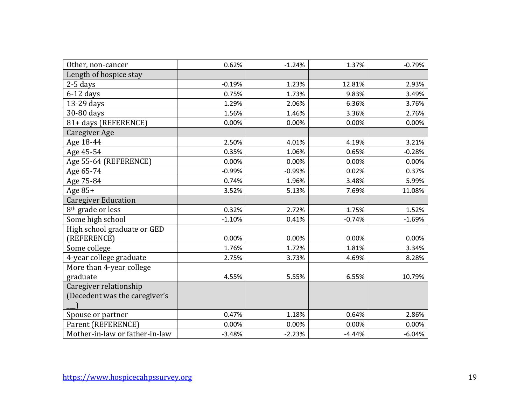| Other, non-cancer              | 0.62%    | $-1.24%$ | 1.37%    | $-0.79%$ |
|--------------------------------|----------|----------|----------|----------|
| Length of hospice stay         |          |          |          |          |
| 2-5 days                       | $-0.19%$ | 1.23%    | 12.81%   | 2.93%    |
| $6-12$ days                    | 0.75%    | 1.73%    | 9.83%    | 3.49%    |
| 13-29 days                     | 1.29%    | 2.06%    | 6.36%    | 3.76%    |
| 30-80 days                     | 1.56%    | 1.46%    | 3.36%    | 2.76%    |
| 81+ days (REFERENCE)           | 0.00%    | 0.00%    | 0.00%    | 0.00%    |
| Caregiver Age                  |          |          |          |          |
| Age 18-44                      | 2.50%    | 4.01%    | 4.19%    | 3.21%    |
| Age 45-54                      | 0.35%    | 1.06%    | 0.65%    | $-0.28%$ |
| Age 55-64 (REFERENCE)          | 0.00%    | 0.00%    | 0.00%    | 0.00%    |
| Age 65-74                      | $-0.99%$ | $-0.99%$ | 0.02%    | 0.37%    |
| Age 75-84                      | 0.74%    | 1.96%    | 3.48%    | 5.99%    |
| Age 85+                        | 3.52%    | 5.13%    | 7.69%    | 11.08%   |
| <b>Caregiver Education</b>     |          |          |          |          |
| 8 <sup>th</sup> grade or less  | 0.32%    | 2.72%    | 1.75%    | 1.52%    |
| Some high school               | $-1.10%$ | 0.41%    | $-0.74%$ | $-1.69%$ |
| High school graduate or GED    |          |          |          |          |
| (REFERENCE)                    | 0.00%    | 0.00%    | 0.00%    | 0.00%    |
| Some college                   | 1.76%    | 1.72%    | 1.81%    | 3.34%    |
| 4-year college graduate        | 2.75%    | 3.73%    | 4.69%    | 8.28%    |
| More than 4-year college       |          |          |          |          |
| graduate                       | 4.55%    | 5.55%    | 6.55%    | 10.79%   |
| Caregiver relationship         |          |          |          |          |
| (Decedent was the caregiver's  |          |          |          |          |
|                                |          |          |          |          |
| Spouse or partner              | 0.47%    | 1.18%    | 0.64%    | 2.86%    |
| Parent (REFERENCE)             | 0.00%    | 0.00%    | 0.00%    | 0.00%    |
| Mother-in-law or father-in-law | $-3.48%$ | $-2.23%$ | $-4.44%$ | $-6.04%$ |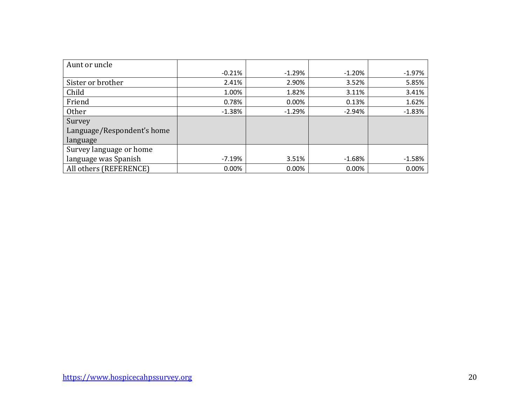| Aunt or uncle              |          |          |          |          |
|----------------------------|----------|----------|----------|----------|
|                            | $-0.21%$ | $-1.29%$ | $-1.20%$ | $-1.97%$ |
| Sister or brother          | 2.41%    | 2.90%    | 3.52%    | 5.85%    |
| Child                      | 1.00%    | 1.82%    | 3.11%    | 3.41%    |
| Friend                     | 0.78%    | 0.00%    | 0.13%    | 1.62%    |
| <b>Other</b>               | $-1.38%$ | $-1.29%$ | $-2.94%$ | $-1.83%$ |
| Survey                     |          |          |          |          |
| Language/Respondent's home |          |          |          |          |
| language                   |          |          |          |          |
| Survey language or home    |          |          |          |          |
| language was Spanish       | $-7.19%$ | 3.51%    | $-1.68%$ | $-1.58%$ |
| All others (REFERENCE)     | 0.00%    | 0.00%    | 0.00%    | 0.00%    |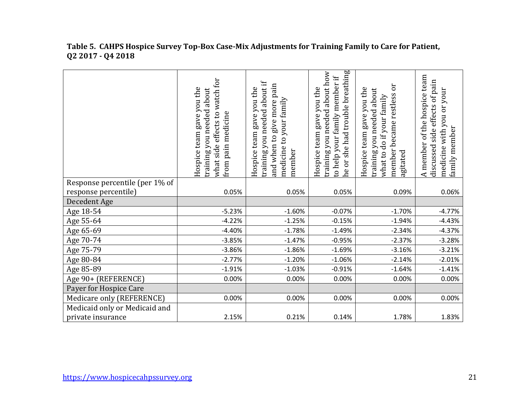|                                | what side effects to watch for<br>Hospice team gave you the<br>training you needed about<br>pain medicine<br>from | training you needed about if<br>and when to give more pain<br>Hospice team gave you the<br>medicine to your family<br>member | he or she had trouble breathing<br>training you needed about how<br>to help your family member if<br>Hospice team gave you the | ðr<br>Hospice team gave you the<br>about<br>member became restless<br>what to do if your family<br>training you needed<br>agitated | A member of the hospice team<br>side effects of pain<br>medicine with you or your<br>family member<br>discussed |
|--------------------------------|-------------------------------------------------------------------------------------------------------------------|------------------------------------------------------------------------------------------------------------------------------|--------------------------------------------------------------------------------------------------------------------------------|------------------------------------------------------------------------------------------------------------------------------------|-----------------------------------------------------------------------------------------------------------------|
| Response percentile (per 1% of |                                                                                                                   |                                                                                                                              |                                                                                                                                |                                                                                                                                    |                                                                                                                 |
| response percentile)           | 0.05%                                                                                                             | 0.05%                                                                                                                        | 0.05%                                                                                                                          | 0.09%                                                                                                                              | 0.06%                                                                                                           |
| Decedent Age                   |                                                                                                                   |                                                                                                                              |                                                                                                                                |                                                                                                                                    |                                                                                                                 |
| Age 18-54                      | $-5.23%$                                                                                                          | $-1.60%$                                                                                                                     | $-0.07%$                                                                                                                       | $-1.70%$                                                                                                                           | $-4.77%$                                                                                                        |
| Age 55-64                      | $-4.22%$                                                                                                          | $-1.25%$                                                                                                                     | $-0.15%$                                                                                                                       | $-1.94%$                                                                                                                           | $-4.43%$                                                                                                        |
| Age 65-69                      | $-4.40%$                                                                                                          | $-1.78%$                                                                                                                     | $-1.49%$                                                                                                                       | $-2.34%$                                                                                                                           | $-4.37%$                                                                                                        |
| Age 70-74                      | $-3.85%$                                                                                                          | $-1.47%$                                                                                                                     | $-0.95%$                                                                                                                       | $-2.37%$                                                                                                                           | $-3.28%$                                                                                                        |
| Age 75-79                      | $-3.86%$                                                                                                          | $-1.86%$                                                                                                                     | $-1.69%$                                                                                                                       | $-3.16%$                                                                                                                           | $-3.21%$                                                                                                        |
| Age 80-84                      | $-2.77%$                                                                                                          | $-1.20%$                                                                                                                     | $-1.06%$                                                                                                                       | $-2.14%$                                                                                                                           | $-2.01%$                                                                                                        |
| Age 85-89                      | $-1.91%$                                                                                                          | $-1.03%$                                                                                                                     | $-0.91%$                                                                                                                       | $-1.64%$                                                                                                                           | $-1.41%$                                                                                                        |
| Age 90+ (REFERENCE)            | 0.00%                                                                                                             | 0.00%                                                                                                                        | 0.00%                                                                                                                          | 0.00%                                                                                                                              | 0.00%                                                                                                           |
| Payer for Hospice Care         |                                                                                                                   |                                                                                                                              |                                                                                                                                |                                                                                                                                    |                                                                                                                 |
| Medicare only (REFERENCE)      | 0.00%                                                                                                             | 0.00%                                                                                                                        | 0.00%                                                                                                                          | 0.00%                                                                                                                              | 0.00%                                                                                                           |
| Medicaid only or Medicaid and  |                                                                                                                   |                                                                                                                              |                                                                                                                                |                                                                                                                                    |                                                                                                                 |
| private insurance              | 2.15%                                                                                                             | 0.21%                                                                                                                        | 0.14%                                                                                                                          | 1.78%                                                                                                                              | 1.83%                                                                                                           |

#### **Table 5. CAHPS Hospice Survey Top-Box Case-Mix Adjustments for Training Family to Care for Patient, Q2 2017 - Q4 2018**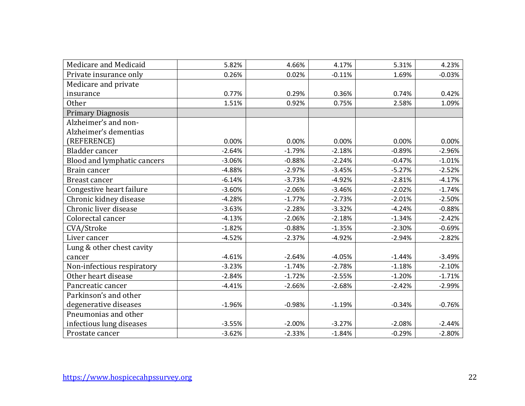| Medicare and Medicaid       | 5.82%    | 4.66%    | 4.17%    | 5.31%    | 4.23%    |
|-----------------------------|----------|----------|----------|----------|----------|
| Private insurance only      | 0.26%    | 0.02%    | $-0.11%$ | 1.69%    | $-0.03%$ |
| Medicare and private        |          |          |          |          |          |
| insurance                   | 0.77%    | 0.29%    | 0.36%    | 0.74%    | 0.42%    |
| <b>Other</b>                | 1.51%    | 0.92%    | 0.75%    | 2.58%    | 1.09%    |
| <b>Primary Diagnosis</b>    |          |          |          |          |          |
| Alzheimer's and non-        |          |          |          |          |          |
| Alzheimer's dementias       |          |          |          |          |          |
| (REFERENCE)                 | 0.00%    | 0.00%    | 0.00%    | 0.00%    | 0.00%    |
| Bladder cancer              | $-2.64%$ | $-1.79%$ | $-2.18%$ | $-0.89%$ | $-2.96%$ |
| Blood and lymphatic cancers | $-3.06%$ | $-0.88%$ | $-2.24%$ | $-0.47%$ | $-1.01%$ |
| Brain cancer                | $-4.88%$ | $-2.97%$ | $-3.45%$ | $-5.27%$ | $-2.52%$ |
| Breast cancer               | $-6.14%$ | $-3.73%$ | $-4.92%$ | $-2.81%$ | $-4.17%$ |
| Congestive heart failure    | $-3.60%$ | $-2.06%$ | $-3.46%$ | $-2.02%$ | $-1.74%$ |
| Chronic kidney disease      | $-4.28%$ | $-1.77%$ | $-2.73%$ | $-2.01%$ | $-2.50%$ |
| Chronic liver disease       | $-3.63%$ | $-2.28%$ | $-3.32%$ | $-4.24%$ | $-0.88%$ |
| Colorectal cancer           | $-4.13%$ | $-2.06%$ | $-2.18%$ | $-1.34%$ | $-2.42%$ |
| CVA/Stroke                  | $-1.82%$ | $-0.88%$ | $-1.35%$ | $-2.30%$ | $-0.69%$ |
| Liver cancer                | $-4.52%$ | $-2.37%$ | $-4.92%$ | $-2.94%$ | $-2.82%$ |
| Lung & other chest cavity   |          |          |          |          |          |
| cancer                      | $-4.61%$ | $-2.64%$ | $-4.05%$ | $-1.44%$ | $-3.49%$ |
| Non-infectious respiratory  | $-3.23%$ | $-1.74%$ | $-2.78%$ | $-1.18%$ | $-2.10%$ |
| Other heart disease         | $-2.84%$ | $-1.72%$ | $-2.55%$ | $-1.20%$ | $-1.71%$ |
| Pancreatic cancer           | $-4.41%$ | $-2.66%$ | $-2.68%$ | $-2.42%$ | $-2.99%$ |
| Parkinson's and other       |          |          |          |          |          |
| degenerative diseases       | $-1.96%$ | $-0.98%$ | $-1.19%$ | $-0.34%$ | $-0.76%$ |
| Pneumonias and other        |          |          |          |          |          |
| infectious lung diseases    | $-3.55%$ | $-2.00%$ | $-3.27%$ | $-2.08%$ | $-2.44%$ |
| Prostate cancer             | $-3.62%$ | $-2.33%$ | $-1.84%$ | $-0.29%$ | $-2.80%$ |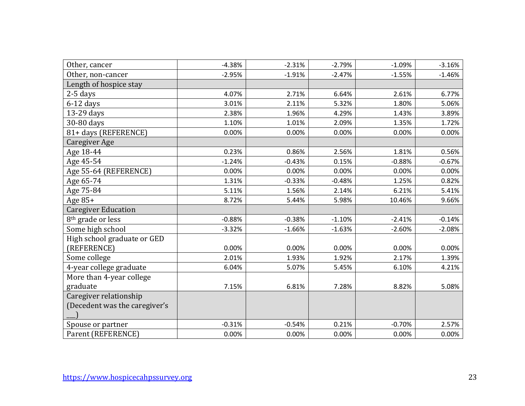| Other, cancer                 | $-4.38%$ | $-2.31%$ | $-2.79%$ | $-1.09%$ | $-3.16%$ |
|-------------------------------|----------|----------|----------|----------|----------|
| Other, non-cancer             | $-2.95%$ | $-1.91%$ | $-2.47%$ | $-1.55%$ | $-1.46%$ |
| Length of hospice stay        |          |          |          |          |          |
| $2-5$ days                    | 4.07%    | 2.71%    | 6.64%    | 2.61%    | 6.77%    |
| $6-12$ days                   | 3.01%    | 2.11%    | 5.32%    | 1.80%    | 5.06%    |
| 13-29 days                    | 2.38%    | 1.96%    | 4.29%    | 1.43%    | 3.89%    |
| 30-80 days                    | 1.10%    | 1.01%    | 2.09%    | 1.35%    | 1.72%    |
| 81+ days (REFERENCE)          | 0.00%    | 0.00%    | 0.00%    | 0.00%    | 0.00%    |
| Caregiver Age                 |          |          |          |          |          |
| Age 18-44                     | 0.23%    | 0.86%    | 2.56%    | 1.81%    | 0.56%    |
| Age 45-54                     | $-1.24%$ | $-0.43%$ | 0.15%    | $-0.88%$ | $-0.67%$ |
| Age 55-64 (REFERENCE)         | 0.00%    | 0.00%    | 0.00%    | 0.00%    | 0.00%    |
| Age 65-74                     | 1.31%    | $-0.33%$ | $-0.48%$ | 1.25%    | 0.82%    |
| Age 75-84                     | 5.11%    | 1.56%    | 2.14%    | 6.21%    | 5.41%    |
| Age $85+$                     | 8.72%    | 5.44%    | 5.98%    | 10.46%   | 9.66%    |
| <b>Caregiver Education</b>    |          |          |          |          |          |
| 8 <sup>th</sup> grade or less | $-0.88%$ | $-0.38%$ | $-1.10%$ | $-2.41%$ | $-0.14%$ |
| Some high school              | $-3.32%$ | $-1.66%$ | $-1.63%$ | $-2.60%$ | $-2.08%$ |
| High school graduate or GED   |          |          |          |          |          |
| (REFERENCE)                   | 0.00%    | 0.00%    | 0.00%    | 0.00%    | 0.00%    |
| Some college                  | 2.01%    | 1.93%    | 1.92%    | 2.17%    | 1.39%    |
| 4-year college graduate       | 6.04%    | 5.07%    | 5.45%    | 6.10%    | 4.21%    |
| More than 4-year college      |          |          |          |          |          |
| graduate                      | 7.15%    | 6.81%    | 7.28%    | 8.82%    | 5.08%    |
| Caregiver relationship        |          |          |          |          |          |
| (Decedent was the caregiver's |          |          |          |          |          |
|                               |          |          |          |          |          |
| Spouse or partner             | $-0.31%$ | $-0.54%$ | 0.21%    | $-0.70%$ | 2.57%    |
| Parent (REFERENCE)            | 0.00%    | 0.00%    | 0.00%    | 0.00%    | 0.00%    |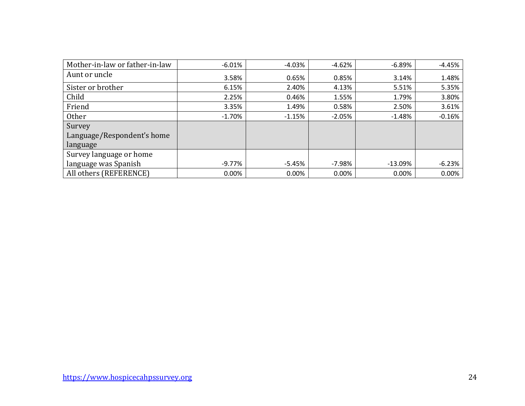| Mother-in-law or father-in-law | $-6.01%$ | $-4.03%$ | $-4.62%$ | $-6.89%$  | $-4.45%$ |
|--------------------------------|----------|----------|----------|-----------|----------|
| Aunt or uncle                  | 3.58%    | 0.65%    | 0.85%    | 3.14%     | 1.48%    |
| Sister or brother              | 6.15%    | 2.40%    | 4.13%    | 5.51%     | 5.35%    |
| Child                          | 2.25%    | 0.46%    | 1.55%    | 1.79%     | 3.80%    |
| Friend                         | 3.35%    | 1.49%    | 0.58%    | 2.50%     | 3.61%    |
| Other                          | $-1.70%$ | $-1.15%$ | $-2.05%$ | $-1.48%$  | $-0.16%$ |
| Survey                         |          |          |          |           |          |
| Language/Respondent's home     |          |          |          |           |          |
| language                       |          |          |          |           |          |
| Survey language or home        |          |          |          |           |          |
| language was Spanish           | -9.77%   | $-5.45%$ | $-7.98%$ | $-13.09%$ | $-6.23%$ |
| All others (REFERENCE)         | $0.00\%$ | 0.00%    | 0.00%    | 0.00%     | 0.00%    |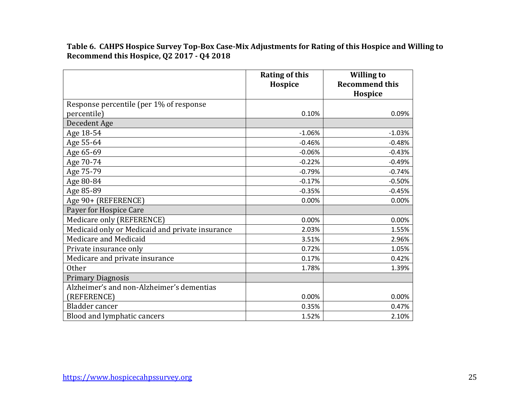**Table 6. CAHPS Hospice Survey Top-Box Case-Mix Adjustments for Rating of this Hospice and Willing to Recommend this Hospice, Q2 2017 - Q4 2018**

|                                                 | <b>Rating of this</b> | <b>Willing to</b><br><b>Recommend this</b> |
|-------------------------------------------------|-----------------------|--------------------------------------------|
|                                                 | Hospice               | Hospice                                    |
| Response percentile (per 1% of response         |                       |                                            |
| percentile)                                     | 0.10%                 | 0.09%                                      |
| Decedent Age                                    |                       |                                            |
| Age 18-54                                       | $-1.06%$              | $-1.03%$                                   |
| Age 55-64                                       | $-0.46%$              | $-0.48%$                                   |
| Age 65-69                                       | $-0.06%$              | $-0.43%$                                   |
| Age 70-74                                       | $-0.22%$              | $-0.49%$                                   |
| Age 75-79                                       | $-0.79%$              | $-0.74%$                                   |
| Age 80-84                                       | $-0.17%$              | $-0.50%$                                   |
| Age 85-89                                       | $-0.35%$              | $-0.45%$                                   |
| Age 90+ (REFERENCE)                             | 0.00%                 | 0.00%                                      |
| Payer for Hospice Care                          |                       |                                            |
| Medicare only (REFERENCE)                       | 0.00%                 | 0.00%                                      |
| Medicaid only or Medicaid and private insurance | 2.03%                 | 1.55%                                      |
| Medicare and Medicaid                           | 3.51%                 | 2.96%                                      |
| Private insurance only                          | 0.72%                 | 1.05%                                      |
| Medicare and private insurance                  | 0.17%                 | 0.42%                                      |
| <b>Other</b>                                    | 1.78%                 | 1.39%                                      |
| <b>Primary Diagnosis</b>                        |                       |                                            |
| Alzheimer's and non-Alzheimer's dementias       |                       |                                            |
| (REFERENCE)                                     | 0.00%                 | 0.00%                                      |
| Bladder cancer                                  | 0.35%                 | 0.47%                                      |
| Blood and lymphatic cancers                     | 1.52%                 | 2.10%                                      |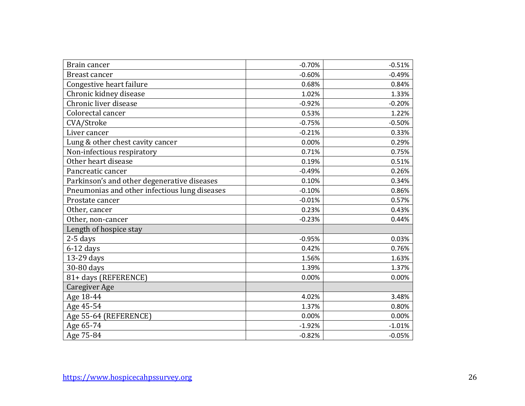| Brain cancer                                  | $-0.70%$ | $-0.51%$ |
|-----------------------------------------------|----------|----------|
| Breast cancer                                 | $-0.60%$ | $-0.49%$ |
| Congestive heart failure                      | 0.68%    | 0.84%    |
| Chronic kidney disease                        | 1.02%    | 1.33%    |
| Chronic liver disease                         | $-0.92%$ | $-0.20%$ |
| Colorectal cancer                             | 0.53%    | 1.22%    |
| CVA/Stroke                                    | $-0.75%$ | $-0.50%$ |
| Liver cancer                                  | $-0.21%$ | 0.33%    |
| Lung & other chest cavity cancer              | 0.00%    | 0.29%    |
| Non-infectious respiratory                    | 0.71%    | 0.75%    |
| Other heart disease                           | 0.19%    | 0.51%    |
| Pancreatic cancer                             | $-0.49%$ | 0.26%    |
| Parkinson's and other degenerative diseases   | 0.10%    | 0.34%    |
| Pneumonias and other infectious lung diseases | $-0.10%$ | 0.86%    |
| Prostate cancer                               | $-0.01%$ | 0.57%    |
| Other, cancer                                 | 0.23%    | 0.43%    |
| Other, non-cancer                             | $-0.23%$ | 0.44%    |
| Length of hospice stay                        |          |          |
| 2-5 days                                      | $-0.95%$ | 0.03%    |
| $6-12$ days                                   | 0.42%    | 0.76%    |
| 13-29 days                                    | 1.56%    | 1.63%    |
| 30-80 days                                    | 1.39%    | 1.37%    |
| 81+ days (REFERENCE)                          | 0.00%    | 0.00%    |
| <b>Caregiver Age</b>                          |          |          |
| Age 18-44                                     | 4.02%    | 3.48%    |
| Age 45-54                                     | 1.37%    | 0.80%    |
| Age 55-64 (REFERENCE)                         | 0.00%    | 0.00%    |
| Age 65-74                                     | $-1.92%$ | $-1.01%$ |
| Age 75-84                                     | $-0.82%$ | $-0.05%$ |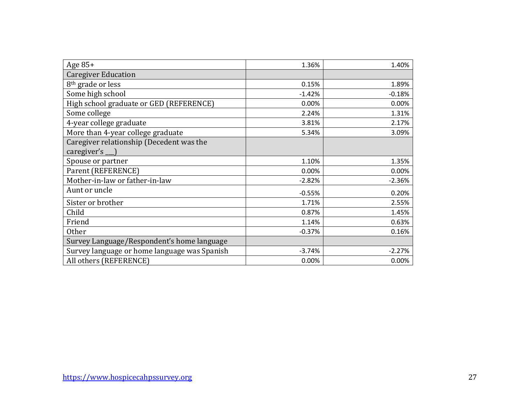| Age 85+                                      | 1.36%    | 1.40%    |
|----------------------------------------------|----------|----------|
| <b>Caregiver Education</b>                   |          |          |
| 8 <sup>th</sup> grade or less                | 0.15%    | 1.89%    |
| Some high school                             | $-1.42%$ | $-0.18%$ |
| High school graduate or GED (REFERENCE)      | 0.00%    | 0.00%    |
| Some college                                 | 2.24%    | 1.31%    |
| 4-year college graduate                      | 3.81%    | 2.17%    |
| More than 4-year college graduate            | 5.34%    | 3.09%    |
| Caregiver relationship (Decedent was the     |          |          |
| caregiver's __ )                             |          |          |
| Spouse or partner                            | 1.10%    | 1.35%    |
| Parent (REFERENCE)                           | 0.00%    | 0.00%    |
| Mother-in-law or father-in-law               | $-2.82%$ | $-2.36%$ |
| Aunt or uncle                                | $-0.55%$ | 0.20%    |
| Sister or brother                            | 1.71%    | 2.55%    |
| Child                                        | 0.87%    | 1.45%    |
| Friend                                       | 1.14%    | 0.63%    |
| <b>Other</b>                                 | $-0.37%$ | 0.16%    |
| Survey Language/Respondent's home language   |          |          |
| Survey language or home language was Spanish | $-3.74%$ | $-2.27%$ |
| All others (REFERENCE)                       | 0.00%    | 0.00%    |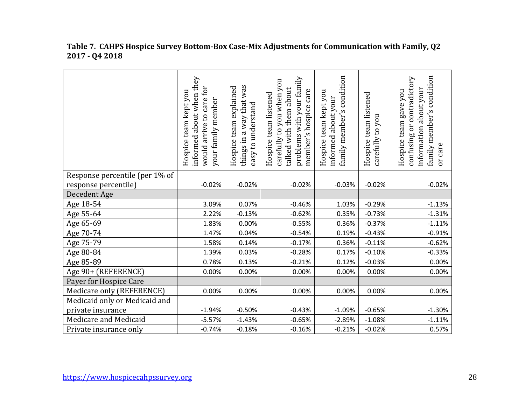|                                | informed about when they<br>would arrive to care for<br>Hospice team kept you<br>your family member | things in a way that was<br>team explained<br>easy to understand<br>Hospice | problems with your family<br>carefully to you when you<br>talked with them about<br>member's hospice care<br>Hospice team listened | family member's condition<br>Hospice team kept you<br>about your<br>informed | Hospice team listened<br>you<br>carefully to | family member's condition<br>contradictory<br>information about your<br>Hospice team gave you<br>confusing or<br>or care |
|--------------------------------|-----------------------------------------------------------------------------------------------------|-----------------------------------------------------------------------------|------------------------------------------------------------------------------------------------------------------------------------|------------------------------------------------------------------------------|----------------------------------------------|--------------------------------------------------------------------------------------------------------------------------|
| Response percentile (per 1% of |                                                                                                     |                                                                             |                                                                                                                                    |                                                                              |                                              |                                                                                                                          |
| response percentile)           | $-0.02%$                                                                                            | $-0.02%$                                                                    | $-0.02%$                                                                                                                           | $-0.03%$                                                                     | $-0.02%$                                     | $-0.02%$                                                                                                                 |
| Decedent Age                   |                                                                                                     |                                                                             |                                                                                                                                    |                                                                              |                                              |                                                                                                                          |
| Age 18-54                      | 3.09%                                                                                               | 0.07%                                                                       | $-0.46%$                                                                                                                           | 1.03%                                                                        | $-0.29%$                                     | $-1.13%$                                                                                                                 |
| Age 55-64                      | 2.22%                                                                                               | $-0.13%$                                                                    | $-0.62%$                                                                                                                           | 0.35%                                                                        | $-0.73%$                                     | $-1.31%$                                                                                                                 |
| Age 65-69                      | 1.83%                                                                                               | 0.00%                                                                       | $-0.55%$                                                                                                                           | 0.36%                                                                        | $-0.37%$                                     | $-1.11%$                                                                                                                 |
| Age 70-74                      | 1.47%                                                                                               | 0.04%                                                                       | $-0.54%$                                                                                                                           | 0.19%                                                                        | $-0.43%$                                     | $-0.91%$                                                                                                                 |
| Age 75-79                      | 1.58%                                                                                               | 0.14%                                                                       | $-0.17%$                                                                                                                           | 0.36%                                                                        | $-0.11%$                                     | $-0.62%$                                                                                                                 |
| Age 80-84                      | 1.39%                                                                                               | 0.03%                                                                       | $-0.28%$                                                                                                                           | 0.17%                                                                        | $-0.10%$                                     | $-0.33%$                                                                                                                 |
| Age 85-89                      | 0.78%                                                                                               | 0.13%                                                                       | $-0.21%$                                                                                                                           | 0.12%                                                                        | $-0.03%$                                     | 0.00%                                                                                                                    |
| Age 90+ (REFERENCE)            | 0.00%                                                                                               | 0.00%                                                                       | 0.00%                                                                                                                              | 0.00%                                                                        | 0.00%                                        | 0.00%                                                                                                                    |
| Payer for Hospice Care         |                                                                                                     |                                                                             |                                                                                                                                    |                                                                              |                                              |                                                                                                                          |
| Medicare only (REFERENCE)      | 0.00%                                                                                               | 0.00%                                                                       | 0.00%                                                                                                                              | 0.00%                                                                        | 0.00%                                        | 0.00%                                                                                                                    |
| Medicaid only or Medicaid and  |                                                                                                     |                                                                             |                                                                                                                                    |                                                                              |                                              |                                                                                                                          |
| private insurance              | $-1.94%$                                                                                            | $-0.50%$                                                                    | $-0.43%$                                                                                                                           | $-1.09%$                                                                     | $-0.65%$                                     | $-1.30%$                                                                                                                 |
| Medicare and Medicaid          | $-5.57%$                                                                                            | $-1.43%$                                                                    | $-0.65%$                                                                                                                           | $-2.89%$                                                                     | $-1.08%$                                     | $-1.11%$                                                                                                                 |
| Private insurance only         | $-0.74%$                                                                                            | $-0.18%$                                                                    | $-0.16%$                                                                                                                           | $-0.21%$                                                                     | $-0.02%$                                     | 0.57%                                                                                                                    |

## **Table 7. CAHPS Hospice Survey Bottom-Box Case-Mix Adjustments for Communication with Family, Q2 2017 - Q4 2018**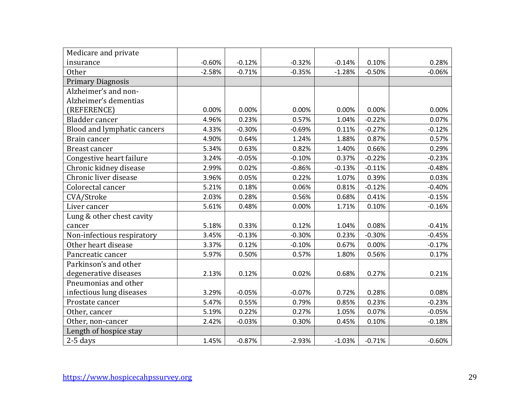| Medicare and private        |          |          |          |          |          |          |
|-----------------------------|----------|----------|----------|----------|----------|----------|
| insurance                   | $-0.60%$ | $-0.12%$ | $-0.32%$ | $-0.14%$ | 0.10%    | 0.28%    |
| Other                       | $-2.58%$ | $-0.71%$ | $-0.35%$ | $-1.28%$ | $-0.50%$ | $-0.06%$ |
| <b>Primary Diagnosis</b>    |          |          |          |          |          |          |
| Alzheimer's and non-        |          |          |          |          |          |          |
| Alzheimer's dementias       |          |          |          |          |          |          |
| (REFERENCE)                 | 0.00%    | 0.00%    | 0.00%    | 0.00%    | 0.00%    | 0.00%    |
| Bladder cancer              | 4.96%    | 0.23%    | 0.57%    | 1.04%    | $-0.22%$ | 0.07%    |
| Blood and lymphatic cancers | 4.33%    | $-0.30%$ | $-0.69%$ | 0.11%    | $-0.27%$ | $-0.12%$ |
| Brain cancer                | 4.90%    | 0.64%    | 1.24%    | 1.88%    | 0.87%    | 0.57%    |
| <b>Breast cancer</b>        | 5.34%    | 0.63%    | 0.82%    | 1.40%    | 0.66%    | 0.29%    |
| Congestive heart failure    | 3.24%    | $-0.05%$ | $-0.10%$ | 0.37%    | $-0.22%$ | $-0.23%$ |
| Chronic kidney disease      | 2.99%    | 0.02%    | $-0.86%$ | $-0.13%$ | $-0.11%$ | $-0.48%$ |
| Chronic liver disease       | 3.96%    | 0.05%    | 0.22%    | 1.07%    | 0.39%    | 0.03%    |
| Colorectal cancer           | 5.21%    | 0.18%    | 0.06%    | 0.81%    | $-0.12%$ | $-0.40%$ |
| CVA/Stroke                  | 2.03%    | 0.28%    | 0.56%    | 0.68%    | 0.41%    | $-0.15%$ |
| Liver cancer                | 5.61%    | 0.48%    | 0.00%    | 1.71%    | 0.10%    | $-0.16%$ |
| Lung & other chest cavity   |          |          |          |          |          |          |
| cancer                      | 5.18%    | 0.33%    | 0.12%    | 1.04%    | 0.08%    | $-0.41%$ |
| Non-infectious respiratory  | 3.45%    | $-0.13%$ | $-0.30%$ | 0.23%    | $-0.30%$ | $-0.45%$ |
| Other heart disease         | 3.37%    | 0.12%    | $-0.10%$ | 0.67%    | 0.00%    | $-0.17%$ |
| Pancreatic cancer           | 5.97%    | 0.50%    | 0.57%    | 1.80%    | 0.56%    | 0.17%    |
| Parkinson's and other       |          |          |          |          |          |          |
| degenerative diseases       | 2.13%    | 0.12%    | 0.02%    | 0.68%    | 0.27%    | 0.21%    |
| Pneumonias and other        |          |          |          |          |          |          |
| infectious lung diseases    | 3.29%    | $-0.05%$ | $-0.07%$ | 0.72%    | 0.28%    | 0.08%    |
| Prostate cancer             | 5.47%    | 0.55%    | 0.79%    | 0.85%    | 0.23%    | $-0.23%$ |
| Other, cancer               | 5.19%    | 0.22%    | 0.27%    | 1.05%    | 0.07%    | $-0.05%$ |
| Other, non-cancer           | 2.42%    | $-0.03%$ | 0.30%    | 0.45%    | 0.10%    | $-0.18%$ |
| Length of hospice stay      |          |          |          |          |          |          |
| $2-5$ days                  | 1.45%    | $-0.87%$ | $-2.93%$ | $-1.03%$ | $-0.71%$ | $-0.60%$ |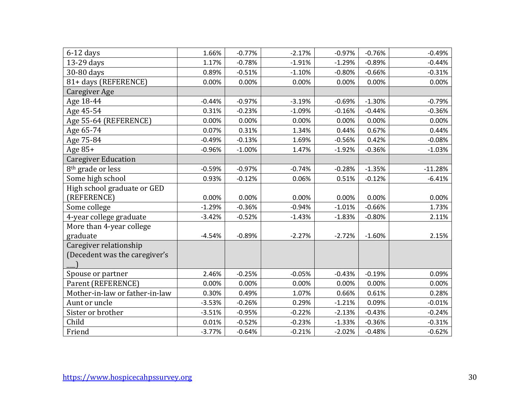| $6-12$ days                    | 1.66%    | $-0.77%$ | $-2.17%$ | $-0.97%$ | $-0.76%$ | $-0.49%$  |
|--------------------------------|----------|----------|----------|----------|----------|-----------|
| 13-29 days                     | 1.17%    | $-0.78%$ | $-1.91%$ | $-1.29%$ | $-0.89%$ | $-0.44%$  |
| 30-80 days                     | 0.89%    | $-0.51%$ | $-1.10%$ | $-0.80%$ | $-0.66%$ | $-0.31%$  |
| 81+ days (REFERENCE)           | 0.00%    | 0.00%    | 0.00%    | 0.00%    | 0.00%    | 0.00%     |
| Caregiver Age                  |          |          |          |          |          |           |
| Age 18-44                      | $-0.44%$ | $-0.97%$ | $-3.19%$ | $-0.69%$ | $-1.30%$ | $-0.79%$  |
| Age 45-54                      | 0.31%    | $-0.23%$ | $-1.09%$ | $-0.16%$ | $-0.44%$ | $-0.36%$  |
| Age 55-64 (REFERENCE)          | 0.00%    | 0.00%    | 0.00%    | 0.00%    | 0.00%    | 0.00%     |
| Age 65-74                      | 0.07%    | 0.31%    | 1.34%    | 0.44%    | 0.67%    | 0.44%     |
| Age 75-84                      | $-0.49%$ | $-0.13%$ | 1.69%    | $-0.56%$ | 0.42%    | $-0.08%$  |
| Age $85+$                      | $-0.96%$ | $-1.00%$ | 1.47%    | $-1.92%$ | $-0.36%$ | $-1.03%$  |
| <b>Caregiver Education</b>     |          |          |          |          |          |           |
| 8 <sup>th</sup> grade or less  | $-0.59%$ | $-0.97%$ | $-0.74%$ | $-0.28%$ | $-1.35%$ | $-11.28%$ |
| Some high school               | 0.93%    | $-0.12%$ | 0.06%    | 0.51%    | $-0.12%$ | $-6.41%$  |
| High school graduate or GED    |          |          |          |          |          |           |
| (REFERENCE)                    | 0.00%    | 0.00%    | 0.00%    | 0.00%    | 0.00%    | 0.00%     |
| Some college                   | $-1.29%$ | $-0.36%$ | $-0.94%$ | $-1.01%$ | $-0.66%$ | 1.73%     |
| 4-year college graduate        | $-3.42%$ | $-0.52%$ | $-1.43%$ | $-1.83%$ | $-0.80%$ | 2.11%     |
| More than 4-year college       |          |          |          |          |          |           |
| graduate                       | $-4.54%$ | $-0.89%$ | $-2.27%$ | $-2.72%$ | $-1.60%$ | 2.15%     |
| Caregiver relationship         |          |          |          |          |          |           |
| (Decedent was the caregiver's  |          |          |          |          |          |           |
|                                |          |          |          |          |          |           |
| Spouse or partner              | 2.46%    | $-0.25%$ | $-0.05%$ | $-0.43%$ | $-0.19%$ | 0.09%     |
| Parent (REFERENCE)             | 0.00%    | 0.00%    | 0.00%    | 0.00%    | 0.00%    | 0.00%     |
| Mother-in-law or father-in-law | 0.30%    | 0.49%    | 1.07%    | 0.66%    | 0.61%    | 0.28%     |
| Aunt or uncle                  | $-3.53%$ | $-0.26%$ | 0.29%    | $-1.21%$ | 0.09%    | $-0.01%$  |
| Sister or brother              | $-3.51%$ | $-0.95%$ | $-0.22%$ | $-2.13%$ | $-0.43%$ | $-0.24%$  |
| Child                          | 0.01%    | $-0.52%$ | $-0.23%$ | $-1.33%$ | $-0.36%$ | $-0.31%$  |
| Friend                         | $-3.77%$ | $-0.64%$ | $-0.21%$ | $-2.02%$ | $-0.48%$ | $-0.62%$  |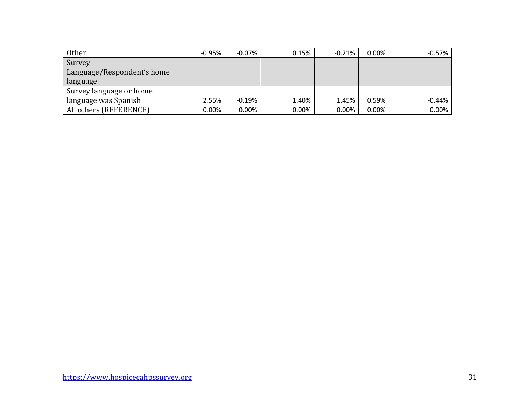| Other                      | $-0.95%$ | -0.07%   | 0.15% | $-0.21%$ | $0.00\%$ | $-0.57%$ |
|----------------------------|----------|----------|-------|----------|----------|----------|
| Survey                     |          |          |       |          |          |          |
| Language/Respondent's home |          |          |       |          |          |          |
| language                   |          |          |       |          |          |          |
| Survey language or home    |          |          |       |          |          |          |
| language was Spanish       | 2.55%    | -0.19%   | 1.40% | 1.45%    | 0.59%    | $-0.44%$ |
| All others (REFERENCE)     | $0.00\%$ | $0.00\%$ | 0.00% | 0.00%    | $0.00\%$ | 0.00%    |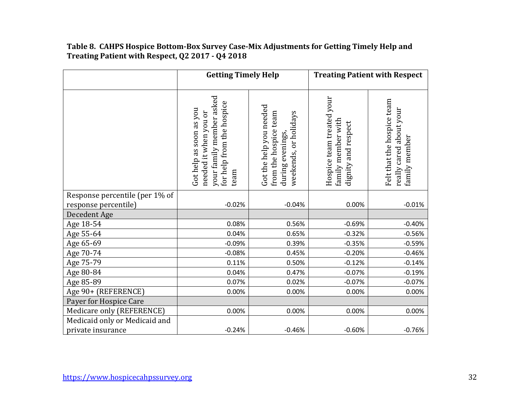## **Table 8. CAHPS Hospice Bottom-Box Survey Case-Mix Adjustments for Getting Timely Help and Treating Patient with Respect, Q2 2017 - Q4 2018**

|                                | <b>Getting Timely Help</b>                                                                                        |                                                                                               | <b>Treating Patient with Respect</b>                                   |                                                                        |  |
|--------------------------------|-------------------------------------------------------------------------------------------------------------------|-----------------------------------------------------------------------------------------------|------------------------------------------------------------------------|------------------------------------------------------------------------|--|
|                                | your family member asked<br>for help from the hospice<br>Got help as soon as you<br>needed it when you or<br>team | Got the help you needed<br>from the hospice team<br>weekends, or holidays<br>during evenings, | Hospice team treated your<br>family member with<br>dignity and respect | Felt that the hospice team<br>really cared about your<br>family member |  |
| Response percentile (per 1% of |                                                                                                                   |                                                                                               |                                                                        |                                                                        |  |
| response percentile)           | $-0.02%$                                                                                                          | $-0.04%$                                                                                      | 0.00%                                                                  | $-0.01%$                                                               |  |
| Decedent Age                   |                                                                                                                   |                                                                                               |                                                                        |                                                                        |  |
| Age 18-54                      | 0.08%                                                                                                             | 0.56%                                                                                         | $-0.69%$                                                               | $-0.40%$                                                               |  |
| Age 55-64                      | 0.04%                                                                                                             | 0.65%                                                                                         | $-0.32%$                                                               | $-0.56%$                                                               |  |
| Age 65-69                      | $-0.09%$                                                                                                          | 0.39%                                                                                         | $-0.35%$                                                               | $-0.59%$                                                               |  |
| Age 70-74                      | $-0.08%$                                                                                                          | 0.45%                                                                                         | $-0.20%$                                                               | $-0.46%$                                                               |  |
| Age 75-79                      | 0.11%                                                                                                             | 0.50%                                                                                         | $-0.12%$                                                               | $-0.14%$                                                               |  |
| Age 80-84                      | 0.04%                                                                                                             | 0.47%                                                                                         | $-0.07%$                                                               | $-0.19%$                                                               |  |
| Age 85-89                      | 0.07%                                                                                                             | 0.02%                                                                                         | $-0.07%$                                                               | $-0.07%$                                                               |  |
| Age 90+ (REFERENCE)            | 0.00%                                                                                                             | 0.00%                                                                                         | 0.00%                                                                  | 0.00%                                                                  |  |
| Payer for Hospice Care         |                                                                                                                   |                                                                                               |                                                                        |                                                                        |  |
| Medicare only (REFERENCE)      | 0.00%                                                                                                             | 0.00%                                                                                         | 0.00%                                                                  | 0.00%                                                                  |  |
| Medicaid only or Medicaid and  |                                                                                                                   |                                                                                               |                                                                        |                                                                        |  |
| private insurance              | $-0.24%$                                                                                                          | $-0.46%$                                                                                      | $-0.60%$                                                               | $-0.76%$                                                               |  |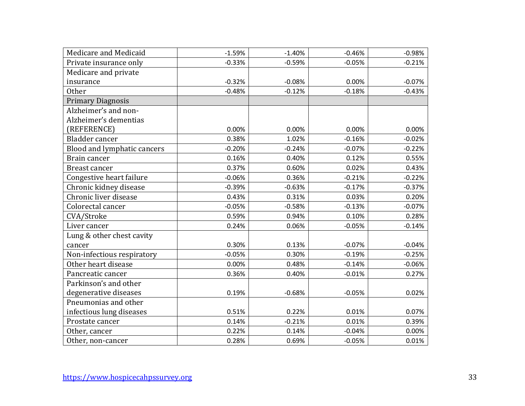| Medicare and Medicaid       | $-1.59%$ | $-1.40%$ | $-0.46%$ | $-0.98%$ |
|-----------------------------|----------|----------|----------|----------|
| Private insurance only      | $-0.33%$ | $-0.59%$ | $-0.05%$ | $-0.21%$ |
| Medicare and private        |          |          |          |          |
| insurance                   | $-0.32%$ | $-0.08%$ | 0.00%    | $-0.07%$ |
| <b>Other</b>                | $-0.48%$ | $-0.12%$ | $-0.18%$ | $-0.43%$ |
| <b>Primary Diagnosis</b>    |          |          |          |          |
| Alzheimer's and non-        |          |          |          |          |
| Alzheimer's dementias       |          |          |          |          |
| (REFERENCE)                 | 0.00%    | 0.00%    | 0.00%    | 0.00%    |
| Bladder cancer              | 0.38%    | 1.02%    | $-0.16%$ | $-0.02%$ |
| Blood and lymphatic cancers | $-0.20%$ | $-0.24%$ | $-0.07%$ | $-0.22%$ |
| Brain cancer                | 0.16%    | 0.40%    | 0.12%    | 0.55%    |
| <b>Breast cancer</b>        | 0.37%    | 0.60%    | 0.02%    | 0.43%    |
| Congestive heart failure    | $-0.06%$ | 0.36%    | $-0.21%$ | $-0.22%$ |
| Chronic kidney disease      | $-0.39%$ | $-0.63%$ | $-0.17%$ | $-0.37%$ |
| Chronic liver disease       | 0.43%    | 0.31%    | 0.03%    | 0.20%    |
| Colorectal cancer           | $-0.05%$ | $-0.58%$ | $-0.13%$ | $-0.07%$ |
| CVA/Stroke                  | 0.59%    | 0.94%    | 0.10%    | 0.28%    |
| Liver cancer                | 0.24%    | 0.06%    | $-0.05%$ | $-0.14%$ |
| Lung & other chest cavity   |          |          |          |          |
| cancer                      | 0.30%    | 0.13%    | $-0.07%$ | $-0.04%$ |
| Non-infectious respiratory  | $-0.05%$ | 0.30%    | $-0.19%$ | $-0.25%$ |
| Other heart disease         | 0.00%    | 0.48%    | $-0.14%$ | $-0.06%$ |
| Pancreatic cancer           | 0.36%    | 0.40%    | $-0.01%$ | 0.27%    |
| Parkinson's and other       |          |          |          |          |
| degenerative diseases       | 0.19%    | $-0.68%$ | $-0.05%$ | 0.02%    |
| Pneumonias and other        |          |          |          |          |
| infectious lung diseases    | 0.51%    | 0.22%    | 0.01%    | 0.07%    |
| Prostate cancer             | 0.14%    | $-0.21%$ | 0.01%    | 0.39%    |
| Other, cancer               | 0.22%    | 0.14%    | $-0.04%$ | 0.00%    |
| Other, non-cancer           | 0.28%    | 0.69%    | $-0.05%$ | 0.01%    |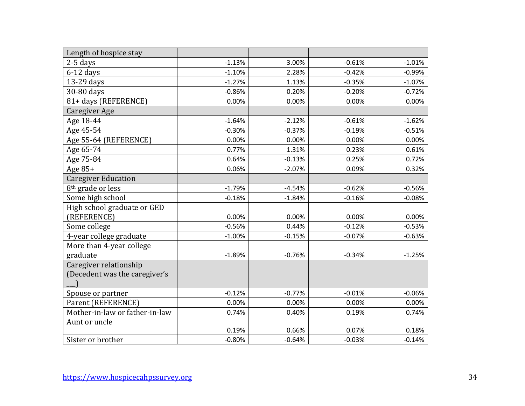| Length of hospice stay         |          |          |          |          |
|--------------------------------|----------|----------|----------|----------|
| $2-5$ days                     | $-1.13%$ | 3.00%    | $-0.61%$ | $-1.01%$ |
| $6-12$ days                    | $-1.10%$ | 2.28%    | $-0.42%$ | $-0.99%$ |
| 13-29 days                     | $-1.27%$ | 1.13%    | $-0.35%$ | $-1.07%$ |
| 30-80 days                     | $-0.86%$ | 0.20%    | $-0.20%$ | $-0.72%$ |
| 81+ days (REFERENCE)           | 0.00%    | 0.00%    | 0.00%    | 0.00%    |
| Caregiver Age                  |          |          |          |          |
| Age 18-44                      | $-1.64%$ | $-2.12%$ | $-0.61%$ | $-1.62%$ |
| Age 45-54                      | $-0.30%$ | $-0.37%$ | $-0.19%$ | $-0.51%$ |
| Age 55-64 (REFERENCE)          | 0.00%    | 0.00%    | 0.00%    | 0.00%    |
| Age 65-74                      | 0.77%    | 1.31%    | 0.23%    | 0.61%    |
| Age 75-84                      | 0.64%    | $-0.13%$ | 0.25%    | 0.72%    |
| Age 85+                        | 0.06%    | $-2.07%$ | 0.09%    | 0.32%    |
| <b>Caregiver Education</b>     |          |          |          |          |
| 8 <sup>th</sup> grade or less  | $-1.79%$ | $-4.54%$ | $-0.62%$ | $-0.56%$ |
| Some high school               | $-0.18%$ | $-1.84%$ | $-0.16%$ | $-0.08%$ |
| High school graduate or GED    |          |          |          |          |
| (REFERENCE)                    | 0.00%    | 0.00%    | 0.00%    | 0.00%    |
| Some college                   | $-0.56%$ | 0.44%    | $-0.12%$ | $-0.53%$ |
| 4-year college graduate        | $-1.00%$ | $-0.15%$ | $-0.07%$ | $-0.63%$ |
| More than 4-year college       |          |          |          |          |
| graduate                       | $-1.89%$ | $-0.76%$ | $-0.34%$ | $-1.25%$ |
| Caregiver relationship         |          |          |          |          |
| (Decedent was the caregiver's  |          |          |          |          |
|                                |          |          |          |          |
| Spouse or partner              | $-0.12%$ | $-0.77%$ | $-0.01%$ | $-0.06%$ |
| Parent (REFERENCE)             | 0.00%    | 0.00%    | 0.00%    | 0.00%    |
| Mother-in-law or father-in-law | 0.74%    | 0.40%    | 0.19%    | 0.74%    |
| Aunt or uncle                  |          |          |          |          |
|                                | 0.19%    | 0.66%    | 0.07%    | 0.18%    |
| Sister or brother              | $-0.80%$ | $-0.64%$ | $-0.03%$ | $-0.14%$ |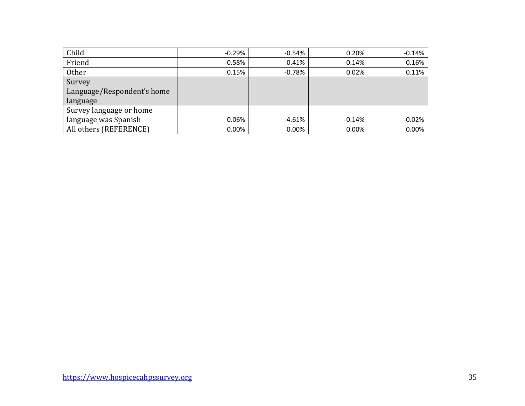| Child                      | $-0.29\%$ | $-0.54%$ | 0.20%    | $-0.14%$ |
|----------------------------|-----------|----------|----------|----------|
| Friend                     | $-0.58\%$ | $-0.41%$ | $-0.14%$ | 0.16%    |
| <b>Other</b>               | 0.15%     | $-0.78%$ | 0.02%    | 0.11%    |
| Survey                     |           |          |          |          |
| Language/Respondent's home |           |          |          |          |
| language                   |           |          |          |          |
| Survey language or home    |           |          |          |          |
| language was Spanish       | 0.06%     | -4.61%   | $-0.14%$ | $-0.02%$ |
| All others (REFERENCE)     | $0.00\%$  | 0.00%    | 0.00%    | 0.00%    |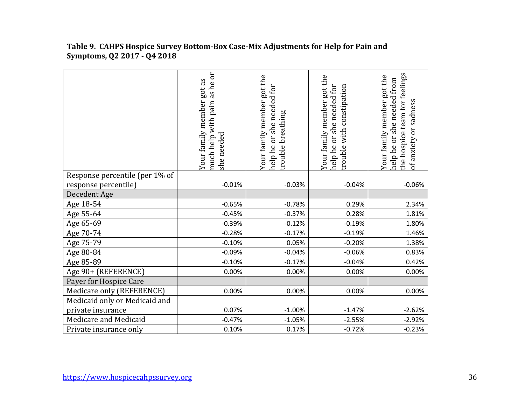|                                | as he or<br>Your family member got as<br>much help with pain<br>she needed | Your family member got the<br>help he or she needed for<br>trouble breathing | Your family member got the<br>help he or she needed for<br>trouble with constipation | the hospice team for feelings<br>Your family member got the<br>help he or she needed from<br>of anxiety or sadness |
|--------------------------------|----------------------------------------------------------------------------|------------------------------------------------------------------------------|--------------------------------------------------------------------------------------|--------------------------------------------------------------------------------------------------------------------|
| Response percentile (per 1% of |                                                                            |                                                                              |                                                                                      |                                                                                                                    |
| response percentile)           | $-0.01%$                                                                   | $-0.03%$                                                                     | $-0.04%$                                                                             | $-0.06%$                                                                                                           |
| Decedent Age                   |                                                                            |                                                                              |                                                                                      |                                                                                                                    |
| Age 18-54                      | $-0.65%$                                                                   | $-0.78%$                                                                     | 0.29%                                                                                | 2.34%                                                                                                              |
| Age 55-64                      | $-0.45%$                                                                   | $-0.37%$                                                                     | 0.28%                                                                                | 1.81%                                                                                                              |
| Age 65-69                      | $-0.39%$                                                                   | $-0.12%$                                                                     | $-0.19%$                                                                             | 1.80%                                                                                                              |
| Age 70-74                      | $-0.28%$                                                                   | $-0.17%$                                                                     | $-0.19%$                                                                             | 1.46%                                                                                                              |
| Age 75-79                      | $-0.10%$                                                                   | 0.05%                                                                        | $-0.20%$                                                                             | 1.38%                                                                                                              |
| Age 80-84                      | $-0.09%$                                                                   | $-0.04%$                                                                     | $-0.06%$                                                                             | 0.83%                                                                                                              |
| Age 85-89                      | $-0.10%$                                                                   | $-0.17%$                                                                     | $-0.04%$                                                                             | 0.42%                                                                                                              |
| Age 90+ (REFERENCE)            | 0.00%                                                                      | 0.00%                                                                        | 0.00%                                                                                | 0.00%                                                                                                              |
| Payer for Hospice Care         |                                                                            |                                                                              |                                                                                      |                                                                                                                    |
| Medicare only (REFERENCE)      | 0.00%                                                                      | 0.00%                                                                        | 0.00%                                                                                | 0.00%                                                                                                              |
| Medicaid only or Medicaid and  |                                                                            |                                                                              |                                                                                      |                                                                                                                    |
| private insurance              | 0.07%                                                                      | $-1.00%$                                                                     | $-1.47%$                                                                             | $-2.62%$                                                                                                           |
| Medicare and Medicaid          | $-0.47%$                                                                   | $-1.05%$                                                                     | $-2.55%$                                                                             | $-2.92%$                                                                                                           |
| Private insurance only         | 0.10%                                                                      | 0.17%                                                                        | $-0.72%$                                                                             | $-0.23%$                                                                                                           |

#### **Table 9. CAHPS Hospice Survey Bottom-Box Case-Mix Adjustments for Help for Pain and Symptoms, Q2 2017 - Q4 2018**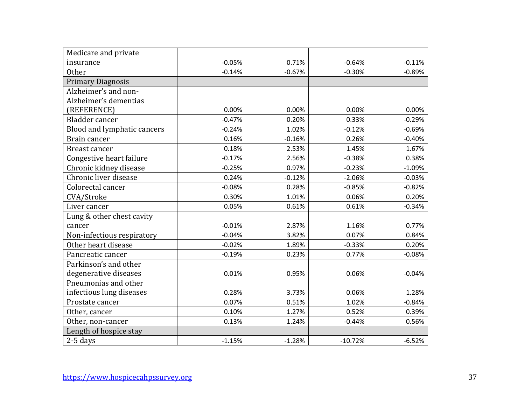| Medicare and private        |          |          |           |          |
|-----------------------------|----------|----------|-----------|----------|
| insurance                   | $-0.05%$ | 0.71%    | $-0.64%$  | $-0.11%$ |
| <b>Other</b>                | $-0.14%$ | $-0.67%$ | $-0.30%$  | $-0.89%$ |
| <b>Primary Diagnosis</b>    |          |          |           |          |
| Alzheimer's and non-        |          |          |           |          |
| Alzheimer's dementias       |          |          |           |          |
| (REFERENCE)                 | 0.00%    | 0.00%    | 0.00%     | 0.00%    |
| Bladder cancer              | $-0.47%$ | 0.20%    | 0.33%     | $-0.29%$ |
| Blood and lymphatic cancers | $-0.24%$ | 1.02%    | $-0.12%$  | $-0.69%$ |
| Brain cancer                | 0.16%    | $-0.16%$ | 0.26%     | $-0.40%$ |
| Breast cancer               | 0.18%    | 2.53%    | 1.45%     | 1.67%    |
| Congestive heart failure    | $-0.17%$ | 2.56%    | $-0.38%$  | 0.38%    |
| Chronic kidney disease      | $-0.25%$ | 0.97%    | $-0.23%$  | $-1.09%$ |
| Chronic liver disease       | 0.24%    | $-0.12%$ | $-2.06%$  | $-0.03%$ |
| Colorectal cancer           | $-0.08%$ | 0.28%    | $-0.85%$  | $-0.82%$ |
| CVA/Stroke                  | 0.30%    | 1.01%    | 0.06%     | 0.20%    |
| Liver cancer                | 0.05%    | 0.61%    | 0.61%     | $-0.34%$ |
| Lung & other chest cavity   |          |          |           |          |
| cancer                      | $-0.01%$ | 2.87%    | 1.16%     | 0.77%    |
| Non-infectious respiratory  | $-0.04%$ | 3.82%    | 0.07%     | 0.84%    |
| Other heart disease         | $-0.02%$ | 1.89%    | $-0.33%$  | 0.20%    |
| Pancreatic cancer           | $-0.19%$ | 0.23%    | 0.77%     | $-0.08%$ |
| Parkinson's and other       |          |          |           |          |
| degenerative diseases       | 0.01%    | 0.95%    | 0.06%     | $-0.04%$ |
| Pneumonias and other        |          |          |           |          |
| infectious lung diseases    | 0.28%    | 3.73%    | 0.06%     | 1.28%    |
| Prostate cancer             | 0.07%    | 0.51%    | 1.02%     | $-0.84%$ |
| Other, cancer               | 0.10%    | 1.27%    | 0.52%     | 0.39%    |
| Other, non-cancer           | 0.13%    | 1.24%    | $-0.44%$  | 0.56%    |
| Length of hospice stay      |          |          |           |          |
| $2-5$ days                  | $-1.15%$ | $-1.28%$ | $-10.72%$ | $-6.52%$ |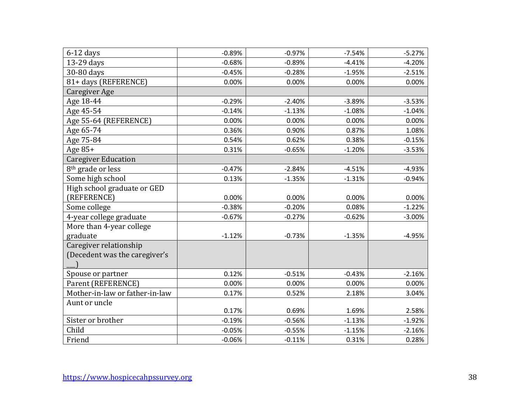| $6-12$ days                    | $-0.89%$ | $-0.97%$ | $-7.54%$ | $-5.27%$ |
|--------------------------------|----------|----------|----------|----------|
| 13-29 days                     | $-0.68%$ | $-0.89%$ | $-4.41%$ | $-4.20%$ |
| 30-80 days                     | $-0.45%$ | $-0.28%$ | $-1.95%$ | $-2.51%$ |
| 81+ days (REFERENCE)           | 0.00%    | 0.00%    | 0.00%    | 0.00%    |
| Caregiver Age                  |          |          |          |          |
| Age 18-44                      | $-0.29%$ | $-2.40%$ | $-3.89%$ | $-3.53%$ |
| Age 45-54                      | $-0.14%$ | $-1.13%$ | $-1.08%$ | $-1.04%$ |
| Age 55-64 (REFERENCE)          | 0.00%    | 0.00%    | 0.00%    | 0.00%    |
| Age 65-74                      | 0.36%    | 0.90%    | 0.87%    | 1.08%    |
| Age 75-84                      | 0.54%    | 0.62%    | 0.38%    | $-0.15%$ |
| Age 85+                        | 0.31%    | $-0.65%$ | $-1.20%$ | $-3.53%$ |
| <b>Caregiver Education</b>     |          |          |          |          |
| 8 <sup>th</sup> grade or less  | $-0.47%$ | $-2.84%$ | $-4.51%$ | $-4.93%$ |
| Some high school               | 0.13%    | $-1.35%$ | $-1.31%$ | $-0.94%$ |
| High school graduate or GED    |          |          |          |          |
| (REFERENCE)                    | 0.00%    | 0.00%    | 0.00%    | 0.00%    |
| Some college                   | $-0.38%$ | $-0.20%$ | 0.08%    | $-1.22%$ |
| 4-year college graduate        | $-0.67%$ | $-0.27%$ | $-0.62%$ | $-3.00%$ |
| More than 4-year college       |          |          |          |          |
| graduate                       | $-1.12%$ | $-0.73%$ | $-1.35%$ | $-4.95%$ |
| Caregiver relationship         |          |          |          |          |
| (Decedent was the caregiver's  |          |          |          |          |
|                                |          |          |          |          |
| Spouse or partner              | 0.12%    | $-0.51%$ | $-0.43%$ | $-2.16%$ |
| Parent (REFERENCE)             | 0.00%    | 0.00%    | 0.00%    | 0.00%    |
| Mother-in-law or father-in-law | 0.17%    | 0.52%    | 2.18%    | 3.04%    |
| Aunt or uncle                  |          |          |          |          |
|                                | 0.17%    | 0.69%    | 1.69%    | 2.58%    |
| Sister or brother              | $-0.19%$ | $-0.56%$ | $-1.13%$ | $-1.92%$ |
| Child                          | $-0.05%$ | $-0.55%$ | $-1.15%$ | $-2.16%$ |
| Friend                         | $-0.06%$ | $-0.11%$ | 0.31%    | 0.28%    |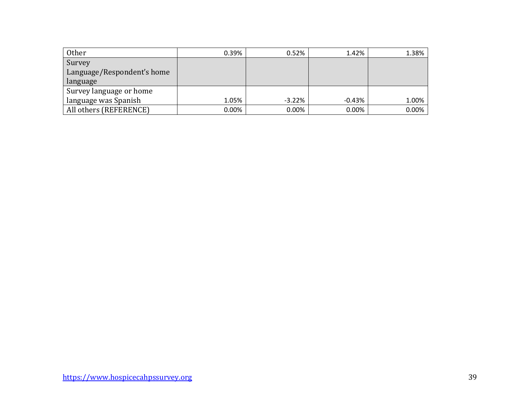| Other                      | 0.39% | 0.52%    | 1.42%    | 1.38% |
|----------------------------|-------|----------|----------|-------|
| Survey                     |       |          |          |       |
| Language/Respondent's home |       |          |          |       |
| language                   |       |          |          |       |
| Survey language or home    |       |          |          |       |
| language was Spanish       | 1.05% | $-3.22%$ | $-0.43%$ | 1.00% |
| All others (REFERENCE)     | 0.00% | $0.00\%$ | 0.00%    | 0.00% |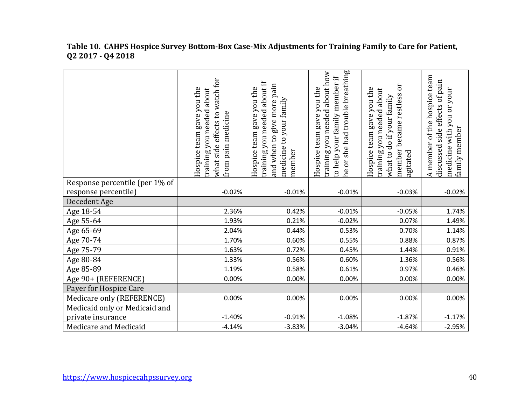|                                | watch for<br>Hospice team gave you the<br>training you needed about<br>what side effects to<br>from pain medicine | about if<br>give more pain<br>Hospice team gave you the<br>medicine to your family<br>training you needed<br>and when to<br>member | he or she had trouble breathing<br>training you needed about how<br>to help your family member if<br>Hospice team gave you the | Эr<br>Hospice team gave you the<br>training you needed about<br>member became restless<br>what to do if your family<br>agitated | A member of the hospice team<br>discussed side effects of pain<br>medicine with you or your<br>family member |
|--------------------------------|-------------------------------------------------------------------------------------------------------------------|------------------------------------------------------------------------------------------------------------------------------------|--------------------------------------------------------------------------------------------------------------------------------|---------------------------------------------------------------------------------------------------------------------------------|--------------------------------------------------------------------------------------------------------------|
| Response percentile (per 1% of |                                                                                                                   |                                                                                                                                    |                                                                                                                                |                                                                                                                                 |                                                                                                              |
| response percentile)           | $-0.02%$                                                                                                          | $-0.01%$                                                                                                                           | $-0.01%$                                                                                                                       | $-0.03%$                                                                                                                        | $-0.02%$                                                                                                     |
| Decedent Age                   |                                                                                                                   |                                                                                                                                    |                                                                                                                                |                                                                                                                                 |                                                                                                              |
| Age 18-54                      | 2.36%                                                                                                             | 0.42%                                                                                                                              | $-0.01%$                                                                                                                       | $-0.05%$                                                                                                                        | 1.74%                                                                                                        |
| Age 55-64                      | 1.93%                                                                                                             | 0.21%                                                                                                                              | $-0.02%$                                                                                                                       | 0.07%                                                                                                                           | 1.49%                                                                                                        |
| Age 65-69                      | 2.04%                                                                                                             | 0.44%                                                                                                                              | 0.53%                                                                                                                          | 0.70%                                                                                                                           | 1.14%                                                                                                        |
| Age 70-74                      | 1.70%                                                                                                             | 0.60%                                                                                                                              | 0.55%                                                                                                                          | 0.88%                                                                                                                           | 0.87%                                                                                                        |
| Age 75-79                      | 1.63%                                                                                                             | 0.72%                                                                                                                              | 0.45%                                                                                                                          | 1.44%                                                                                                                           | 0.91%                                                                                                        |
| Age 80-84                      | 1.33%                                                                                                             | 0.56%                                                                                                                              | 0.60%                                                                                                                          | 1.36%                                                                                                                           | 0.56%                                                                                                        |
| Age 85-89                      | 1.19%                                                                                                             | 0.58%                                                                                                                              | 0.61%                                                                                                                          | 0.97%                                                                                                                           | 0.46%                                                                                                        |
| Age 90+ (REFERENCE)            | 0.00%                                                                                                             | 0.00%                                                                                                                              | 0.00%                                                                                                                          | 0.00%                                                                                                                           | 0.00%                                                                                                        |
| Payer for Hospice Care         |                                                                                                                   |                                                                                                                                    |                                                                                                                                |                                                                                                                                 |                                                                                                              |
| Medicare only (REFERENCE)      | 0.00%                                                                                                             | 0.00%                                                                                                                              | 0.00%                                                                                                                          | 0.00%                                                                                                                           | 0.00%                                                                                                        |
| Medicaid only or Medicaid and  |                                                                                                                   |                                                                                                                                    |                                                                                                                                |                                                                                                                                 |                                                                                                              |
| private insurance              | $-1.40%$                                                                                                          | $-0.91%$                                                                                                                           | $-1.08%$                                                                                                                       | $-1.87%$                                                                                                                        | $-1.17%$                                                                                                     |
| Medicare and Medicaid          | $-4.14%$                                                                                                          | $-3.83%$                                                                                                                           | $-3.04%$                                                                                                                       | $-4.64%$                                                                                                                        | $-2.95%$                                                                                                     |

#### **Table 10. CAHPS Hospice Survey Bottom-Box Case-Mix Adjustments for Training Family to Care for Patient, Q2 2017 - Q4 2018**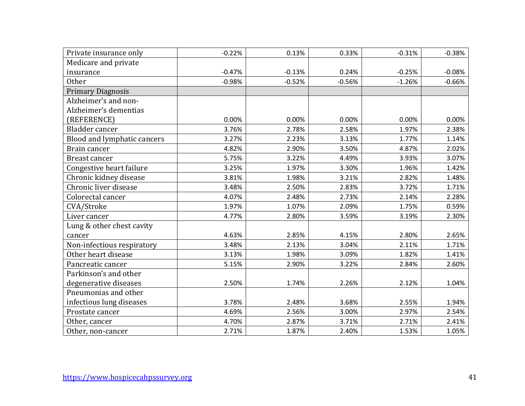| Private insurance only      | $-0.22%$ | 0.13%    | 0.33%    | $-0.31%$ | $-0.38%$ |
|-----------------------------|----------|----------|----------|----------|----------|
| Medicare and private        |          |          |          |          |          |
| insurance                   | $-0.47%$ | $-0.13%$ | 0.24%    | $-0.25%$ | $-0.08%$ |
| <b>Other</b>                | $-0.98%$ | $-0.52%$ | $-0.56%$ | $-1.26%$ | $-0.66%$ |
| <b>Primary Diagnosis</b>    |          |          |          |          |          |
| Alzheimer's and non-        |          |          |          |          |          |
| Alzheimer's dementias       |          |          |          |          |          |
| (REFERENCE)                 | 0.00%    | 0.00%    | 0.00%    | 0.00%    | 0.00%    |
| Bladder cancer              | 3.76%    | 2.78%    | 2.58%    | 1.97%    | 2.38%    |
| Blood and lymphatic cancers | 3.27%    | 2.23%    | 3.13%    | 1.77%    | 1.14%    |
| Brain cancer                | 4.82%    | 2.90%    | 3.50%    | 4.87%    | 2.02%    |
| <b>Breast cancer</b>        | 5.75%    | 3.22%    | 4.49%    | 3.93%    | 3.07%    |
| Congestive heart failure    | 3.25%    | 1.97%    | 3.30%    | 1.96%    | 1.42%    |
| Chronic kidney disease      | 3.81%    | 1.98%    | 3.21%    | 2.82%    | 1.48%    |
| Chronic liver disease       | 3.48%    | 2.50%    | 2.83%    | 3.72%    | 1.71%    |
| Colorectal cancer           | 4.07%    | 2.48%    | 2.73%    | 2.14%    | 2.28%    |
| CVA/Stroke                  | 1.97%    | 1.07%    | 2.09%    | 1.75%    | 0.59%    |
| Liver cancer                | 4.77%    | 2.80%    | 3.59%    | 3.19%    | 2.30%    |
| Lung & other chest cavity   |          |          |          |          |          |
| cancer                      | 4.63%    | 2.85%    | 4.15%    | 2.80%    | 2.65%    |
| Non-infectious respiratory  | 3.48%    | 2.13%    | 3.04%    | 2.11%    | 1.71%    |
| Other heart disease         | 3.13%    | 1.98%    | 3.09%    | 1.82%    | 1.41%    |
| Pancreatic cancer           | 5.15%    | 2.90%    | 3.22%    | 2.84%    | 2.60%    |
| Parkinson's and other       |          |          |          |          |          |
| degenerative diseases       | 2.50%    | 1.74%    | 2.26%    | 2.12%    | 1.04%    |
| Pneumonias and other        |          |          |          |          |          |
| infectious lung diseases    | 3.78%    | 2.48%    | 3.68%    | 2.55%    | 1.94%    |
| Prostate cancer             | 4.69%    | 2.56%    | 3.00%    | 2.97%    | 2.54%    |
| Other, cancer               | 4.70%    | 2.87%    | 3.71%    | 2.71%    | 2.41%    |
| Other, non-cancer           | 2.71%    | 1.87%    | 2.40%    | 1.53%    | 1.05%    |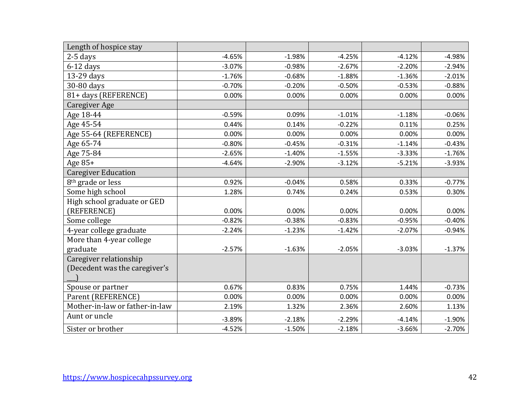| Length of hospice stay         |          |          |          |          |          |
|--------------------------------|----------|----------|----------|----------|----------|
| $2-5$ days                     | $-4.65%$ | $-1.98%$ | $-4.25%$ | $-4.12%$ | $-4.98%$ |
| $6-12$ days                    | $-3.07%$ | $-0.98%$ | $-2.67%$ | $-2.20%$ | $-2.94%$ |
| 13-29 days                     | $-1.76%$ | $-0.68%$ | $-1.88%$ | $-1.36%$ | $-2.01%$ |
| 30-80 days                     | $-0.70%$ | $-0.20%$ | $-0.50%$ | $-0.53%$ | $-0.88%$ |
| 81+ days (REFERENCE)           | 0.00%    | 0.00%    | 0.00%    | 0.00%    | 0.00%    |
| Caregiver Age                  |          |          |          |          |          |
| Age 18-44                      | $-0.59%$ | 0.09%    | $-1.01%$ | $-1.18%$ | $-0.06%$ |
| Age 45-54                      | 0.44%    | 0.14%    | $-0.22%$ | 0.11%    | 0.25%    |
| Age 55-64 (REFERENCE)          | 0.00%    | 0.00%    | 0.00%    | 0.00%    | 0.00%    |
| Age 65-74                      | $-0.80%$ | $-0.45%$ | $-0.31%$ | $-1.14%$ | $-0.43%$ |
| Age 75-84                      | $-2.65%$ | $-1.40%$ | $-1.55%$ | $-3.33%$ | $-1.76%$ |
| Age $85+$                      | $-4.64%$ | $-2.90%$ | $-3.12%$ | $-5.21%$ | $-3.93%$ |
| <b>Caregiver Education</b>     |          |          |          |          |          |
| 8 <sup>th</sup> grade or less  | 0.92%    | $-0.04%$ | 0.58%    | 0.33%    | $-0.77%$ |
| Some high school               | 1.28%    | 0.74%    | 0.24%    | 0.53%    | 0.30%    |
| High school graduate or GED    |          |          |          |          |          |
| (REFERENCE)                    | 0.00%    | 0.00%    | 0.00%    | 0.00%    | 0.00%    |
| Some college                   | $-0.82%$ | $-0.38%$ | $-0.83%$ | $-0.95%$ | $-0.40%$ |
| 4-year college graduate        | $-2.24%$ | $-1.23%$ | $-1.42%$ | $-2.07%$ | $-0.94%$ |
| More than 4-year college       |          |          |          |          |          |
| graduate                       | $-2.57%$ | $-1.63%$ | $-2.05%$ | $-3.03%$ | $-1.37%$ |
| Caregiver relationship         |          |          |          |          |          |
| (Decedent was the caregiver's  |          |          |          |          |          |
|                                |          |          |          |          |          |
| Spouse or partner              | 0.67%    | 0.83%    | 0.75%    | 1.44%    | $-0.73%$ |
| Parent (REFERENCE)             | 0.00%    | 0.00%    | 0.00%    | 0.00%    | 0.00%    |
| Mother-in-law or father-in-law | 2.19%    | 1.32%    | 2.36%    | 2.60%    | 1.13%    |
| Aunt or uncle                  | $-3.89%$ | $-2.18%$ | $-2.29%$ | $-4.14%$ | $-1.90%$ |
| Sister or brother              | $-4.52%$ | $-1.50%$ | $-2.18%$ | $-3.66%$ | $-2.70%$ |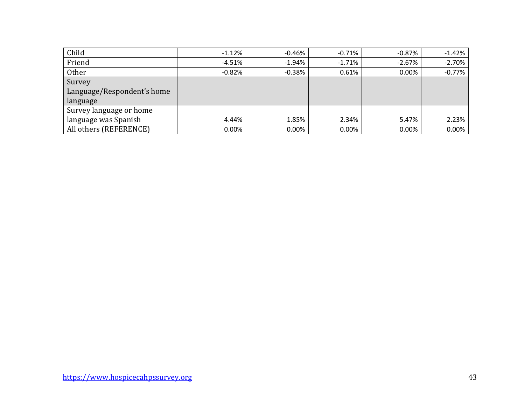| Child                      | $-1.12%$ | $-0.46%$ | $-0.71\%$ | -0.87%   | $-1.42%$ |
|----------------------------|----------|----------|-----------|----------|----------|
| Friend                     | $-4.51%$ | $-1.94%$ | $-1.71%$  | $-2.67%$ | $-2.70%$ |
| <b>Other</b>               | $-0.82%$ | $-0.38%$ | 0.61%     | 0.00%    | $-0.77%$ |
| Survey                     |          |          |           |          |          |
| Language/Respondent's home |          |          |           |          |          |
| language                   |          |          |           |          |          |
| Survey language or home    |          |          |           |          |          |
| language was Spanish       | 4.44%    | 1.85%    | 2.34%     | 5.47%    | 2.23%    |
| All others (REFERENCE)     | $0.00\%$ | $0.00\%$ | $0.00\%$  | 0.00%    | 0.00%    |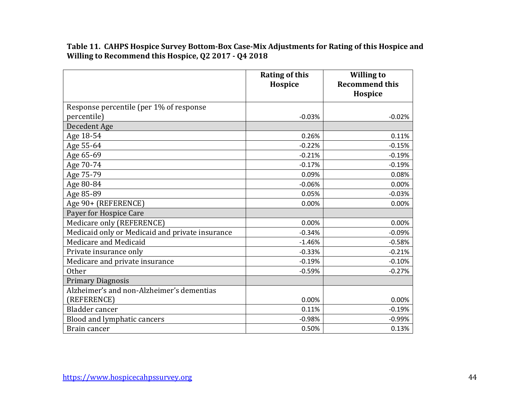**Table 11. CAHPS Hospice Survey Bottom-Box Case-Mix Adjustments for Rating of this Hospice and Willing to Recommend this Hospice, Q2 2017 - Q4 2018**

|                                                 | <b>Rating of this</b><br>Hospice | <b>Willing to</b><br><b>Recommend this</b><br>Hospice |
|-------------------------------------------------|----------------------------------|-------------------------------------------------------|
| Response percentile (per 1% of response         |                                  |                                                       |
| percentile)                                     | $-0.03%$                         | $-0.02%$                                              |
| Decedent Age                                    |                                  |                                                       |
| Age 18-54                                       | 0.26%                            | 0.11%                                                 |
| Age 55-64                                       | $-0.22%$                         | $-0.15%$                                              |
| Age 65-69                                       | $-0.21%$                         | $-0.19%$                                              |
| Age 70-74                                       | $-0.17%$                         | $-0.19%$                                              |
| Age 75-79                                       | 0.09%                            | 0.08%                                                 |
| Age 80-84                                       | $-0.06%$                         | 0.00%                                                 |
| Age 85-89                                       | 0.05%                            | $-0.03%$                                              |
| Age 90+ (REFERENCE)                             | 0.00%                            | 0.00%                                                 |
| Payer for Hospice Care                          |                                  |                                                       |
| Medicare only (REFERENCE)                       | 0.00%                            | 0.00%                                                 |
| Medicaid only or Medicaid and private insurance | $-0.34%$                         | $-0.09%$                                              |
| Medicare and Medicaid                           | $-1.46%$                         | $-0.58%$                                              |
| Private insurance only                          | $-0.33%$                         | $-0.21%$                                              |
| Medicare and private insurance                  | $-0.19%$                         | $-0.10%$                                              |
| Other                                           | $-0.59%$                         | $-0.27%$                                              |
| <b>Primary Diagnosis</b>                        |                                  |                                                       |
| Alzheimer's and non-Alzheimer's dementias       |                                  |                                                       |
| (REFERENCE)                                     | 0.00%                            | 0.00%                                                 |
| Bladder cancer                                  | 0.11%                            | $-0.19%$                                              |
| Blood and lymphatic cancers                     | $-0.98%$                         | $-0.99%$                                              |
| Brain cancer                                    | 0.50%                            | 0.13%                                                 |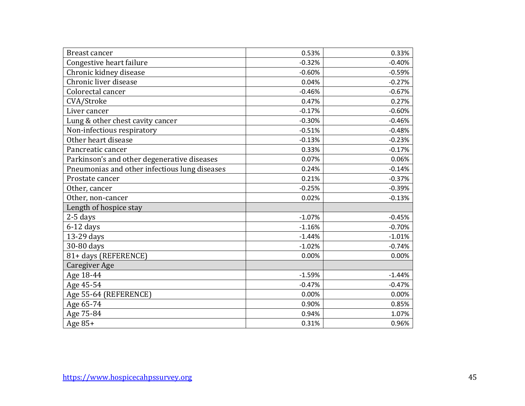| Breast cancer                                 | 0.53%    | 0.33%    |
|-----------------------------------------------|----------|----------|
| Congestive heart failure                      | $-0.32%$ | $-0.40%$ |
| Chronic kidney disease                        | $-0.60%$ | $-0.59%$ |
| Chronic liver disease                         | 0.04%    | $-0.27%$ |
| Colorectal cancer                             | $-0.46%$ | $-0.67%$ |
| CVA/Stroke                                    | 0.47%    | 0.27%    |
| Liver cancer                                  | $-0.17%$ | $-0.60%$ |
| Lung & other chest cavity cancer              | $-0.30%$ | $-0.46%$ |
| Non-infectious respiratory                    | $-0.51%$ | $-0.48%$ |
| Other heart disease                           | $-0.13%$ | $-0.23%$ |
| Pancreatic cancer                             | 0.33%    | $-0.17%$ |
| Parkinson's and other degenerative diseases   | 0.07%    | 0.06%    |
| Pneumonias and other infectious lung diseases | 0.24%    | $-0.14%$ |
| Prostate cancer                               | 0.21%    | $-0.37%$ |
| Other, cancer                                 | $-0.25%$ | $-0.39%$ |
| Other, non-cancer                             | 0.02%    | $-0.13%$ |
| Length of hospice stay                        |          |          |
| $2-5$ days                                    | $-1.07%$ | $-0.45%$ |
| $6-12$ days                                   | $-1.16%$ | $-0.70%$ |
| 13-29 days                                    | $-1.44%$ | $-1.01%$ |
| 30-80 days                                    | $-1.02%$ | $-0.74%$ |
| 81+ days (REFERENCE)                          | 0.00%    | 0.00%    |
| <b>Caregiver Age</b>                          |          |          |
| Age 18-44                                     | $-1.59%$ | $-1.44%$ |
| Age 45-54                                     | $-0.47%$ | $-0.47%$ |
| Age 55-64 (REFERENCE)                         | 0.00%    | 0.00%    |
| Age 65-74                                     | 0.90%    | 0.85%    |
| Age 75-84                                     | 0.94%    | 1.07%    |
| Age 85+                                       | 0.31%    | 0.96%    |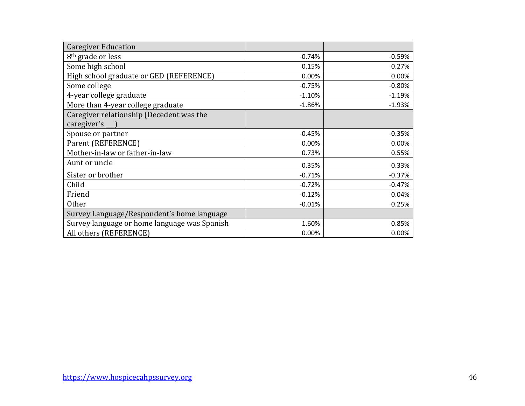| <b>Caregiver Education</b>                   |          |          |
|----------------------------------------------|----------|----------|
| 8 <sup>th</sup> grade or less                | $-0.74%$ | $-0.59%$ |
| Some high school                             | 0.15%    | 0.27%    |
| High school graduate or GED (REFERENCE)      | 0.00%    | 0.00%    |
| Some college                                 | $-0.75%$ | $-0.80%$ |
| 4-year college graduate                      | $-1.10%$ | $-1.19%$ |
| More than 4-year college graduate            | $-1.86%$ | $-1.93%$ |
| Caregiver relationship (Decedent was the     |          |          |
| caregiver's                                  |          |          |
| Spouse or partner                            | $-0.45%$ | $-0.35%$ |
| Parent (REFERENCE)                           | 0.00%    | 0.00%    |
| Mother-in-law or father-in-law               | 0.73%    | 0.55%    |
| Aunt or uncle                                | 0.35%    | 0.33%    |
| Sister or brother                            | $-0.71%$ | $-0.37%$ |
| Child                                        | $-0.72%$ | $-0.47%$ |
| Friend                                       | $-0.12%$ | 0.04%    |
| <b>Other</b>                                 | $-0.01%$ | 0.25%    |
| Survey Language/Respondent's home language   |          |          |
| Survey language or home language was Spanish | 1.60%    | 0.85%    |
| All others (REFERENCE)                       | 0.00%    | 0.00%    |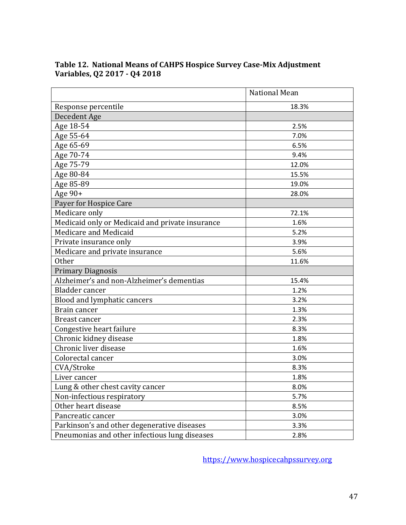|                                                 | <b>National Mean</b> |
|-------------------------------------------------|----------------------|
| Response percentile                             | 18.3%                |
| Decedent Age                                    |                      |
| Age 18-54                                       | 2.5%                 |
| Age 55-64                                       | 7.0%                 |
| Age 65-69                                       | 6.5%                 |
| Age 70-74                                       | 9.4%                 |
| Age 75-79                                       | 12.0%                |
| Age 80-84                                       | 15.5%                |
| Age 85-89                                       | 19.0%                |
| Age 90+                                         | 28.0%                |
| Payer for Hospice Care                          |                      |
| Medicare only                                   | 72.1%                |
| Medicaid only or Medicaid and private insurance | 1.6%                 |
| Medicare and Medicaid                           | 5.2%                 |
| Private insurance only                          | 3.9%                 |
| Medicare and private insurance                  | 5.6%                 |
| <b>Other</b>                                    | 11.6%                |
| <b>Primary Diagnosis</b>                        |                      |
| Alzheimer's and non-Alzheimer's dementias       | 15.4%                |
| Bladder cancer                                  | 1.2%                 |
| Blood and lymphatic cancers                     | 3.2%                 |
| Brain cancer                                    | 1.3%                 |
| Breast cancer                                   | 2.3%                 |
| Congestive heart failure                        | 8.3%                 |
| Chronic kidney disease                          | 1.8%                 |
| Chronic liver disease                           | 1.6%                 |
| Colorectal cancer                               | 3.0%                 |
| CVA/Stroke                                      | 8.3%                 |
| Liver cancer                                    | 1.8%                 |
| Lung & other chest cavity cancer                | 8.0%                 |
| Non-infectious respiratory                      | 5.7%                 |
| Other heart disease                             | 8.5%                 |
| Pancreatic cancer                               | 3.0%                 |
| Parkinson's and other degenerative diseases     | 3.3%                 |
| Pneumonias and other infectious lung diseases   | 2.8%                 |

# **Table 12. National Means of CAHPS Hospice Survey Case-Mix Adjustment Variables, Q2 2017 - Q4 2018**

[https://www.hospicecahpssurvey.org](https://www.hospicecahpssurvey.org/)